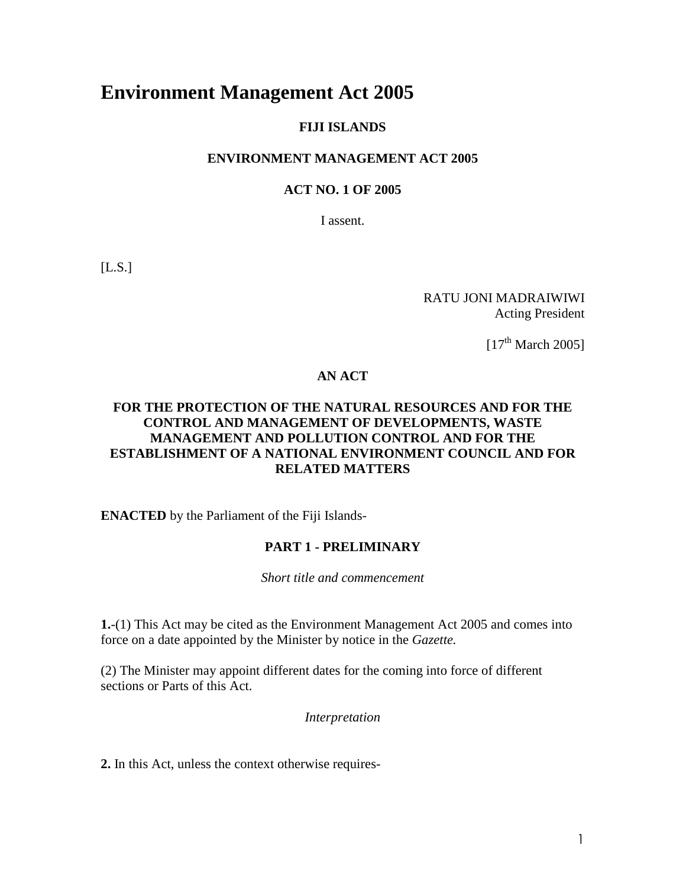# **Environment Management Act 2005**

### **FIJI ISLANDS**

#### **ENVIRONMENT MANAGEMENT ACT 2005**

#### **ACT NO. 1 OF 2005**

I assent.

 $[L.S.]$ 

RATU JONI MADRAIWIWI Acting President

 $[17<sup>th</sup> March 2005]$ 

# **AN ACT**

### **FOR THE PROTECTION OF THE NATURAL RESOURCES AND FOR THE CONTROL AND MANAGEMENT OF DEVELOPMENTS, WASTE MANAGEMENT AND POLLUTION CONTROL AND FOR THE ESTABLISHMENT OF A NATIONAL ENVIRONMENT COUNCIL AND FOR RELATED MATTERS**

**ENACTED** by the Parliament of the Fiji Islands-

#### **PART 1 - PRELIMINARY**

*Short title and commencement*

**1.**-(1) This Act may be cited as the Environment Management Act 2005 and comes into force on a date appointed by the Minister by notice in the *Gazette.*

(2) The Minister may appoint different dates for the coming into force of different sections or Parts of this Act.

*Interpretation*

**2.** In this Act, unless the context otherwise requires-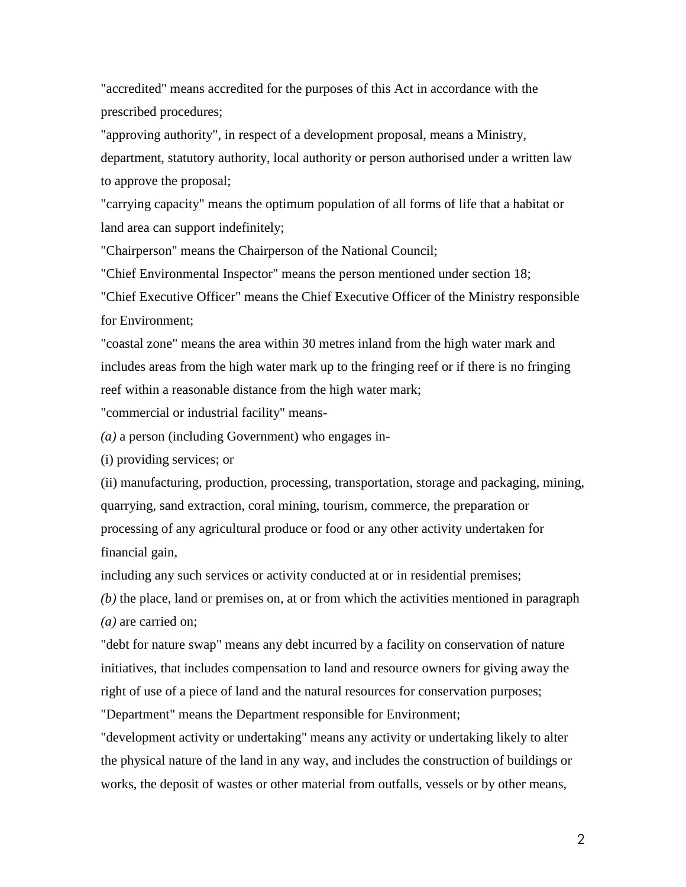"accredited" means accredited for the purposes of this Act in accordance with the prescribed procedures;

"approving authority", in respect of a development proposal, means a Ministry, department, statutory authority, local authority or person authorised under a written law to approve the proposal;

"carrying capacity" means the optimum population of all forms of life that a habitat or land area can support indefinitely;

"Chairperson" means the Chairperson of the National Council;

"Chief Environmental Inspector" means the person mentioned under section 18;

"Chief Executive Officer" means the Chief Executive Officer of the Ministry responsible for Environment;

"coastal zone" means the area within 30 metres inland from the high water mark and includes areas from the high water mark up to the fringing reef or if there is no fringing reef within a reasonable distance from the high water mark;

"commercial or industrial facility" means-

*(a)* a person (including Government) who engages in-

(i) providing services; or

(ii) manufacturing, production, processing, transportation, storage and packaging, mining, quarrying, sand extraction, coral mining, tourism, commerce, the preparation or processing of any agricultural produce or food or any other activity undertaken for financial gain,

including any such services or activity conducted at or in residential premises;

*(b)* the place, land or premises on, at or from which the activities mentioned in paragraph *(a)* are carried on;

"debt for nature swap" means any debt incurred by a facility on conservation of nature initiatives, that includes compensation to land and resource owners for giving away the right of use of a piece of land and the natural resources for conservation purposes;

"Department" means the Department responsible for Environment;

"development activity or undertaking" means any activity or undertaking likely to alter the physical nature of the land in any way, and includes the construction of buildings or works, the deposit of wastes or other material from outfalls, vessels or by other means,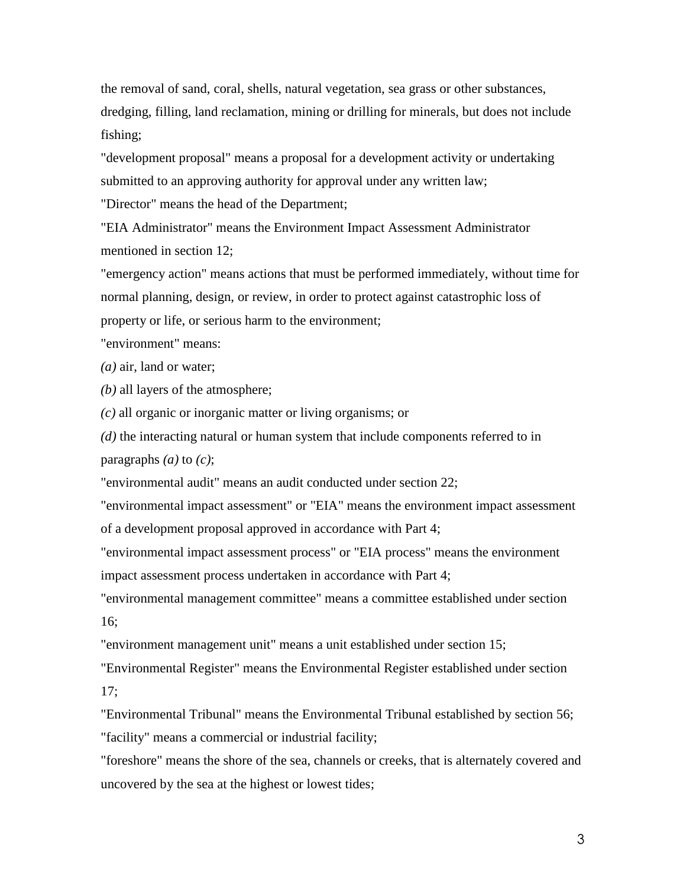the removal of sand, coral, shells, natural vegetation, sea grass or other substances, dredging, filling, land reclamation, mining or drilling for minerals, but does not include fishing;

"development proposal" means a proposal for a development activity or undertaking submitted to an approving authority for approval under any written law;

"Director" means the head of the Department;

"EIA Administrator" means the Environment Impact Assessment Administrator mentioned in section 12;

"emergency action" means actions that must be performed immediately, without time for normal planning, design, or review, in order to protect against catastrophic loss of property or life, or serious harm to the environment;

"environment" means:

*(a)* air, land or water;

*(b)* all layers of the atmosphere;

*(c)* all organic or inorganic matter or living organisms; or

*(d)* the interacting natural or human system that include components referred to in paragraphs *(a)* to *(c)*;

"environmental audit" means an audit conducted under section 22;

"environmental impact assessment" or "EIA" means the environment impact assessment of a development proposal approved in accordance with Part 4;

"environmental impact assessment process" or "EIA process" means the environment impact assessment process undertaken in accordance with Part 4;

"environmental management committee" means a committee established under section 16;

"environment management unit" means a unit established under section 15;

"Environmental Register" means the Environmental Register established under section 17;

"Environmental Tribunal" means the Environmental Tribunal established by section 56; "facility" means a commercial or industrial facility;

"foreshore" means the shore of the sea, channels or creeks, that is alternately covered and uncovered by the sea at the highest or lowest tides;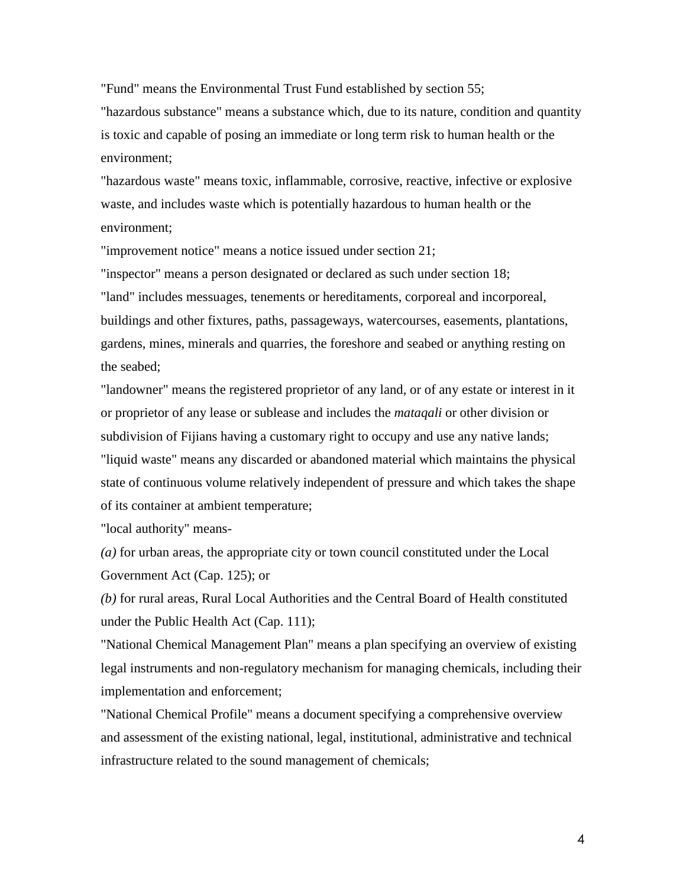"Fund" means the Environmental Trust Fund established by section 55;

"hazardous substance" means a substance which, due to its nature, condition and quantity is toxic and capable of posing an immediate or long term risk to human health or the environment;

"hazardous waste" means toxic, inflammable, corrosive, reactive, infective or explosive waste, and includes waste which is potentially hazardous to human health or the environment;

"improvement notice" means a notice issued under section 21;

"inspector" means a person designated or declared as such under section 18; "land" includes messuages, tenements or hereditaments, corporeal and incorporeal, buildings and other fixtures, paths, passageways, watercourses, easements, plantations, gardens, mines, minerals and quarries, the foreshore and seabed or anything resting on the seabed;

"landowner" means the registered proprietor of any land, or of any estate or interest in it or proprietor of any lease or sublease and includes the *mataqali* or other division or subdivision of Fijians having a customary right to occupy and use any native lands; "liquid waste" means any discarded or abandoned material which maintains the physical state of continuous volume relatively independent of pressure and which takes the shape of its container at ambient temperature;

"local authority" means-

*(a)* for urban areas, the appropriate city or town council constituted under the Local Government Act (Cap. 125); or

*(b)* for rural areas, Rural Local Authorities and the Central Board of Health constituted under the Public Health Act (Cap. 111);

"National Chemical Management Plan" means a plan specifying an overview of existing legal instruments and non-regulatory mechanism for managing chemicals, including their implementation and enforcement;

"National Chemical Profile" means a document specifying a comprehensive overview and assessment of the existing national, legal, institutional, administrative and technical infrastructure related to the sound management of chemicals;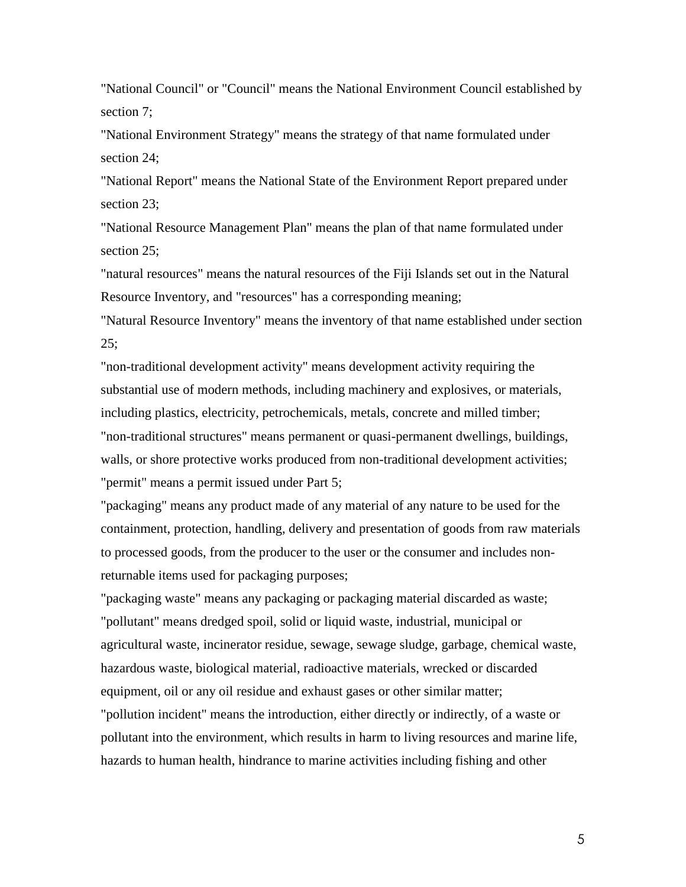"National Council" or "Council" means the National Environment Council established by section 7;

"National Environment Strategy" means the strategy of that name formulated under section 24;

"National Report" means the National State of the Environment Report prepared under section 23;

"National Resource Management Plan" means the plan of that name formulated under section 25;

"natural resources" means the natural resources of the Fiji Islands set out in the Natural Resource Inventory, and "resources" has a corresponding meaning;

"Natural Resource Inventory" means the inventory of that name established under section  $25:$ 

"non-traditional development activity" means development activity requiring the substantial use of modern methods, including machinery and explosives, or materials, including plastics, electricity, petrochemicals, metals, concrete and milled timber; "non-traditional structures" means permanent or quasi-permanent dwellings, buildings, walls, or shore protective works produced from non-traditional development activities; "permit" means a permit issued under Part 5;

"packaging" means any product made of any material of any nature to be used for the containment, protection, handling, delivery and presentation of goods from raw materials to processed goods, from the producer to the user or the consumer and includes nonreturnable items used for packaging purposes;

"packaging waste" means any packaging or packaging material discarded as waste; "pollutant" means dredged spoil, solid or liquid waste, industrial, municipal or agricultural waste, incinerator residue, sewage, sewage sludge, garbage, chemical waste, hazardous waste, biological material, radioactive materials, wrecked or discarded equipment, oil or any oil residue and exhaust gases or other similar matter; "pollution incident" means the introduction, either directly or indirectly, of a waste or

pollutant into the environment, which results in harm to living resources and marine life, hazards to human health, hindrance to marine activities including fishing and other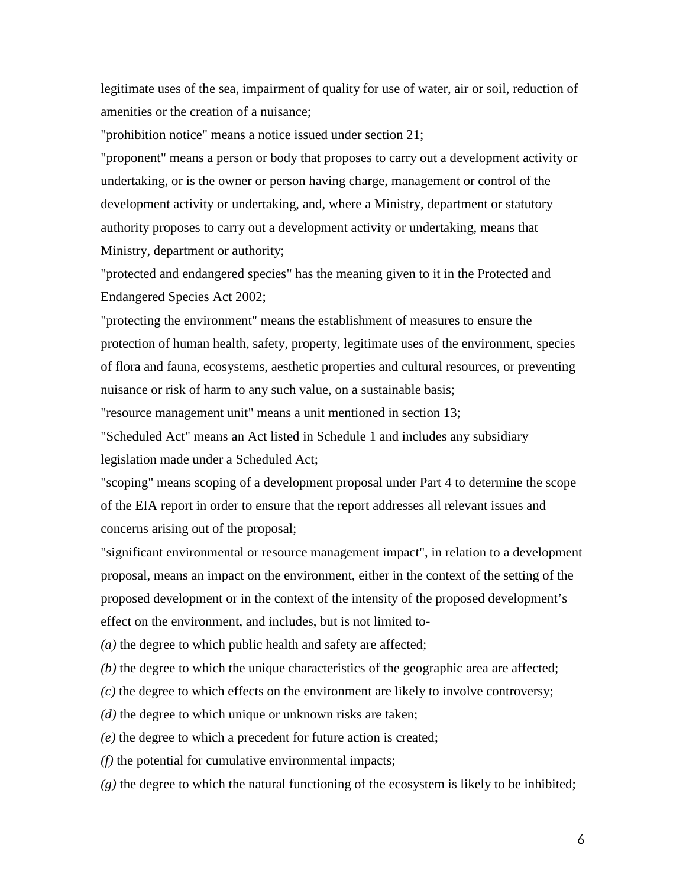legitimate uses of the sea, impairment of quality for use of water, air or soil, reduction of amenities or the creation of a nuisance;

"prohibition notice" means a notice issued under section 21;

"proponent" means a person or body that proposes to carry out a development activity or undertaking, or is the owner or person having charge, management or control of the development activity or undertaking, and, where a Ministry, department or statutory authority proposes to carry out a development activity or undertaking, means that Ministry, department or authority;

"protected and endangered species" has the meaning given to it in the Protected and Endangered Species Act 2002;

"protecting the environment" means the establishment of measures to ensure the protection of human health, safety, property, legitimate uses of the environment, species of flora and fauna, ecosystems, aesthetic properties and cultural resources, or preventing nuisance or risk of harm to any such value, on a sustainable basis;

"resource management unit" means a unit mentioned in section 13;

"Scheduled Act" means an Act listed in Schedule 1 and includes any subsidiary legislation made under a Scheduled Act;

"scoping" means scoping of a development proposal under Part 4 to determine the scope of the EIA report in order to ensure that the report addresses all relevant issues and concerns arising out of the proposal;

"significant environmental or resource management impact", in relation to a development proposal, means an impact on the environment, either in the context of the setting of the proposed development or in the context of the intensity of the proposed development's effect on the environment, and includes, but is not limited to-

*(a)* the degree to which public health and safety are affected;

*(b)* the degree to which the unique characteristics of the geographic area are affected;

*(c)* the degree to which effects on the environment are likely to involve controversy;

*(d)* the degree to which unique or unknown risks are taken;

*(e)* the degree to which a precedent for future action is created;

*(f)* the potential for cumulative environmental impacts;

*(g)* the degree to which the natural functioning of the ecosystem is likely to be inhibited;

6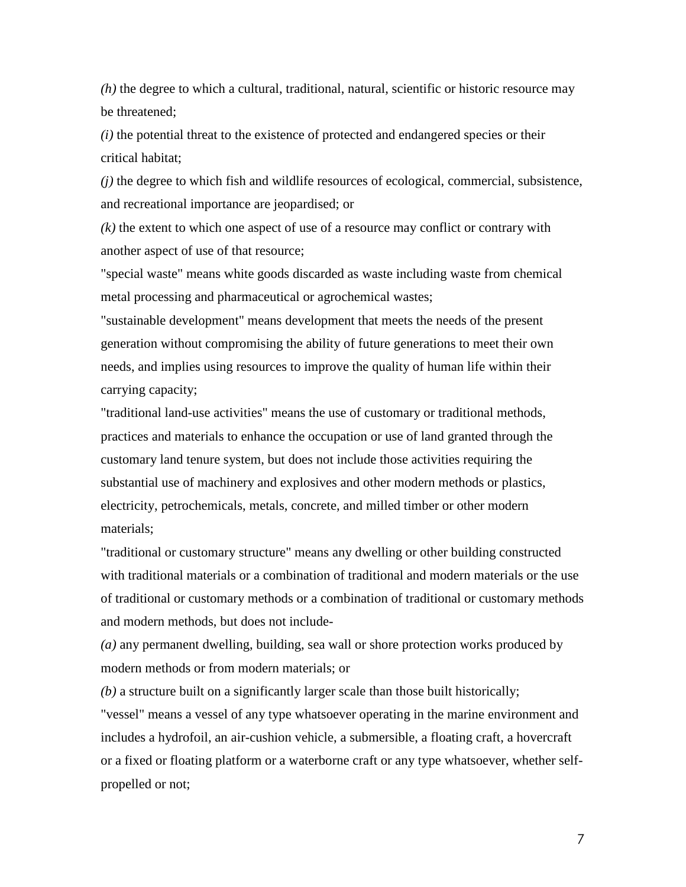*(h)* the degree to which a cultural, traditional, natural, scientific or historic resource may be threatened;

*(i)* the potential threat to the existence of protected and endangered species or their critical habitat;

*(j)* the degree to which fish and wildlife resources of ecological, commercial, subsistence, and recreational importance are jeopardised; or

*(k)* the extent to which one aspect of use of a resource may conflict or contrary with another aspect of use of that resource;

"special waste" means white goods discarded as waste including waste from chemical metal processing and pharmaceutical or agrochemical wastes;

"sustainable development" means development that meets the needs of the present generation without compromising the ability of future generations to meet their own needs, and implies using resources to improve the quality of human life within their carrying capacity;

"traditional land-use activities" means the use of customary or traditional methods, practices and materials to enhance the occupation or use of land granted through the customary land tenure system, but does not include those activities requiring the substantial use of machinery and explosives and other modern methods or plastics, electricity, petrochemicals, metals, concrete, and milled timber or other modern materials;

"traditional or customary structure" means any dwelling or other building constructed with traditional materials or a combination of traditional and modern materials or the use of traditional or customary methods or a combination of traditional or customary methods and modern methods, but does not include-

*(a)* any permanent dwelling, building, sea wall or shore protection works produced by modern methods or from modern materials; or

*(b)* a structure built on a significantly larger scale than those built historically;

"vessel" means a vessel of any type whatsoever operating in the marine environment and includes a hydrofoil, an air-cushion vehicle, a submersible, a floating craft, a hovercraft or a fixed or floating platform or a waterborne craft or any type whatsoever, whether selfpropelled or not;

7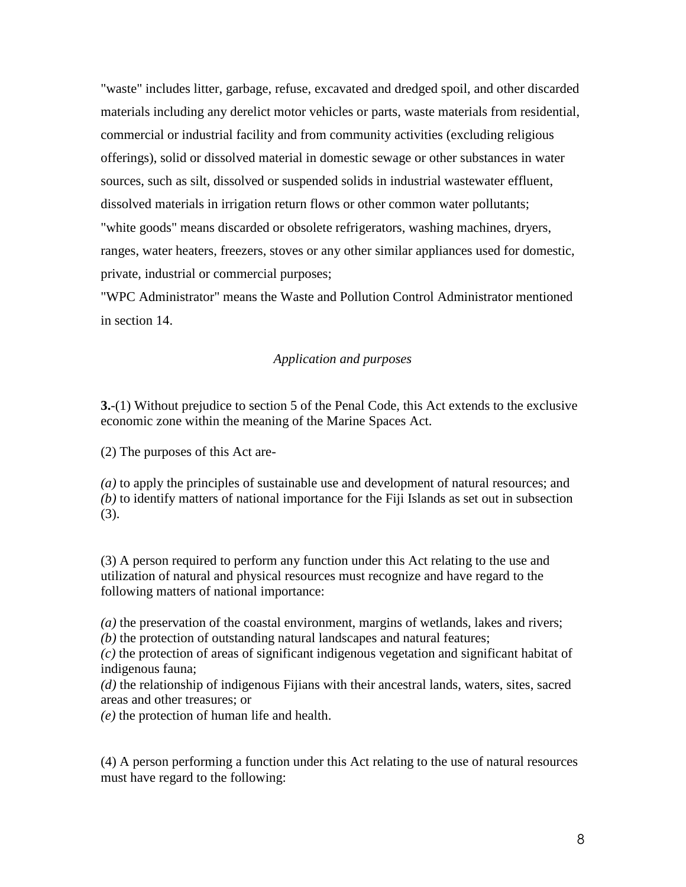"waste" includes litter, garbage, refuse, excavated and dredged spoil, and other discarded materials including any derelict motor vehicles or parts, waste materials from residential, commercial or industrial facility and from community activities (excluding religious offerings), solid or dissolved material in domestic sewage or other substances in water sources, such as silt, dissolved or suspended solids in industrial wastewater effluent, dissolved materials in irrigation return flows or other common water pollutants; "white goods" means discarded or obsolete refrigerators, washing machines, dryers, ranges, water heaters, freezers, stoves or any other similar appliances used for domestic, private, industrial or commercial purposes;

"WPC Administrator" means the Waste and Pollution Control Administrator mentioned in section 14.

#### *Application and purposes*

**3.**-(1) Without prejudice to section 5 of the Penal Code, this Act extends to the exclusive economic zone within the meaning of the Marine Spaces Act.

(2) The purposes of this Act are-

*(a)* to apply the principles of sustainable use and development of natural resources; and *(b)* to identify matters of national importance for the Fiji Islands as set out in subsection (3).

(3) A person required to perform any function under this Act relating to the use and utilization of natural and physical resources must recognize and have regard to the following matters of national importance:

*(a)* the preservation of the coastal environment, margins of wetlands, lakes and rivers; *(b)* the protection of outstanding natural landscapes and natural features;

*(c)* the protection of areas of significant indigenous vegetation and significant habitat of indigenous fauna;

*(d)* the relationship of indigenous Fijians with their ancestral lands, waters, sites, sacred areas and other treasures; or

*(e)* the protection of human life and health.

(4) A person performing a function under this Act relating to the use of natural resources must have regard to the following: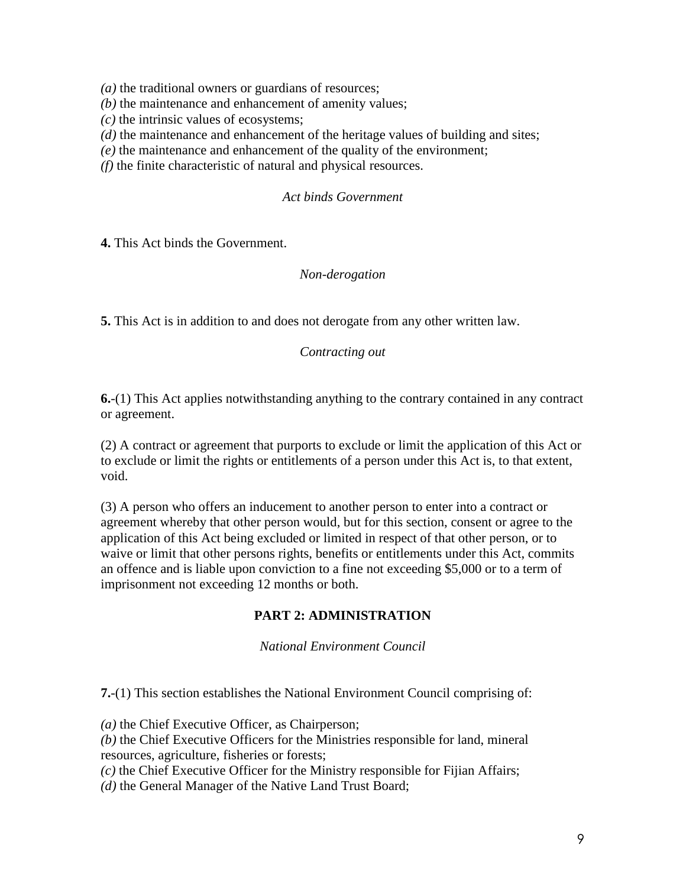*(a)* the traditional owners or guardians of resources;

*(b)* the maintenance and enhancement of amenity values;

*(c)* the intrinsic values of ecosystems;

*(d)* the maintenance and enhancement of the heritage values of building and sites;

*(e)* the maintenance and enhancement of the quality of the environment;

*(f)* the finite characteristic of natural and physical resources.

#### *Act binds Government*

**4.** This Act binds the Government.

#### *Non-derogation*

**5.** This Act is in addition to and does not derogate from any other written law.

#### *Contracting out*

**6.**-(1) This Act applies notwithstanding anything to the contrary contained in any contract or agreement.

(2) A contract or agreement that purports to exclude or limit the application of this Act or to exclude or limit the rights or entitlements of a person under this Act is, to that extent, void.

(3) A person who offers an inducement to another person to enter into a contract or agreement whereby that other person would, but for this section, consent or agree to the application of this Act being excluded or limited in respect of that other person, or to waive or limit that other persons rights, benefits or entitlements under this Act, commits an offence and is liable upon conviction to a fine not exceeding \$5,000 or to a term of imprisonment not exceeding 12 months or both.

# **PART 2: ADMINISTRATION**

*National Environment Council*

**7.**-(1) This section establishes the National Environment Council comprising of:

*(a)* the Chief Executive Officer, as Chairperson;

*(b)* the Chief Executive Officers for the Ministries responsible for land, mineral resources, agriculture, fisheries or forests;

*(c)* the Chief Executive Officer for the Ministry responsible for Fijian Affairs;

*(d)* the General Manager of the Native Land Trust Board;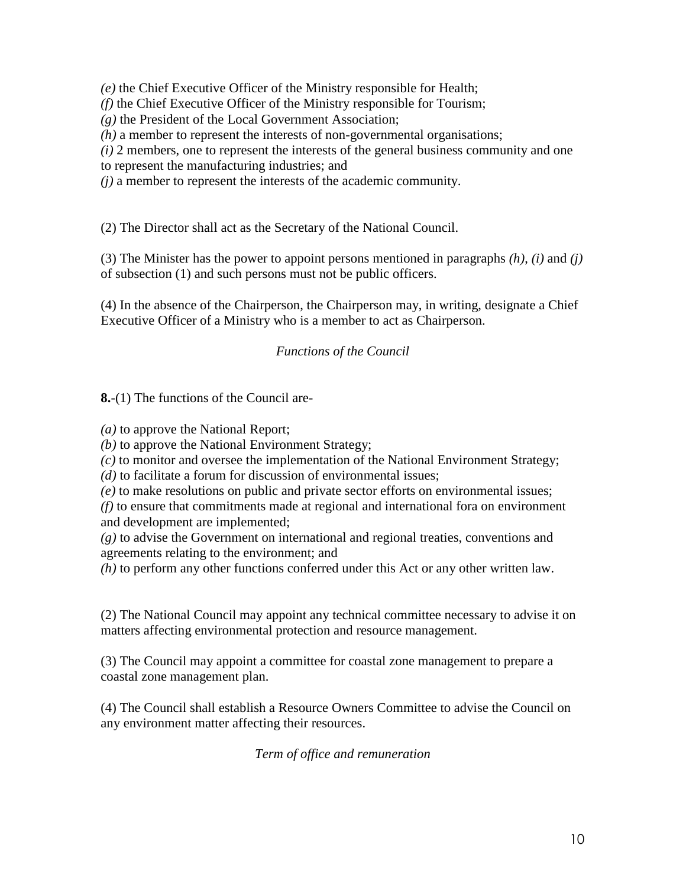*(e)* the Chief Executive Officer of the Ministry responsible for Health;

*(f)* the Chief Executive Officer of the Ministry responsible for Tourism;

*(g)* the President of the Local Government Association;

*(h)* a member to represent the interests of non-governmental organisations;

*(i)* 2 members, one to represent the interests of the general business community and one

to represent the manufacturing industries; and

*(j)* a member to represent the interests of the academic community.

(2) The Director shall act as the Secretary of the National Council.

(3) The Minister has the power to appoint persons mentioned in paragraphs *(h)*, *(i)* and *(j)* of subsection (1) and such persons must not be public officers.

(4) In the absence of the Chairperson, the Chairperson may, in writing, designate a Chief Executive Officer of a Ministry who is a member to act as Chairperson.

# *Functions of the Council*

**8.**-(1) The functions of the Council are-

*(a)* to approve the National Report;

*(b)* to approve the National Environment Strategy;

*(c)* to monitor and oversee the implementation of the National Environment Strategy;

*(d)* to facilitate a forum for discussion of environmental issues;

*(e)* to make resolutions on public and private sector efforts on environmental issues;

*(f)* to ensure that commitments made at regional and international fora on environment and development are implemented;

*(g)* to advise the Government on international and regional treaties, conventions and agreements relating to the environment; and

*(h)* to perform any other functions conferred under this Act or any other written law.

(2) The National Council may appoint any technical committee necessary to advise it on matters affecting environmental protection and resource management.

(3) The Council may appoint a committee for coastal zone management to prepare a coastal zone management plan.

(4) The Council shall establish a Resource Owners Committee to advise the Council on any environment matter affecting their resources.

*Term of office and remuneration*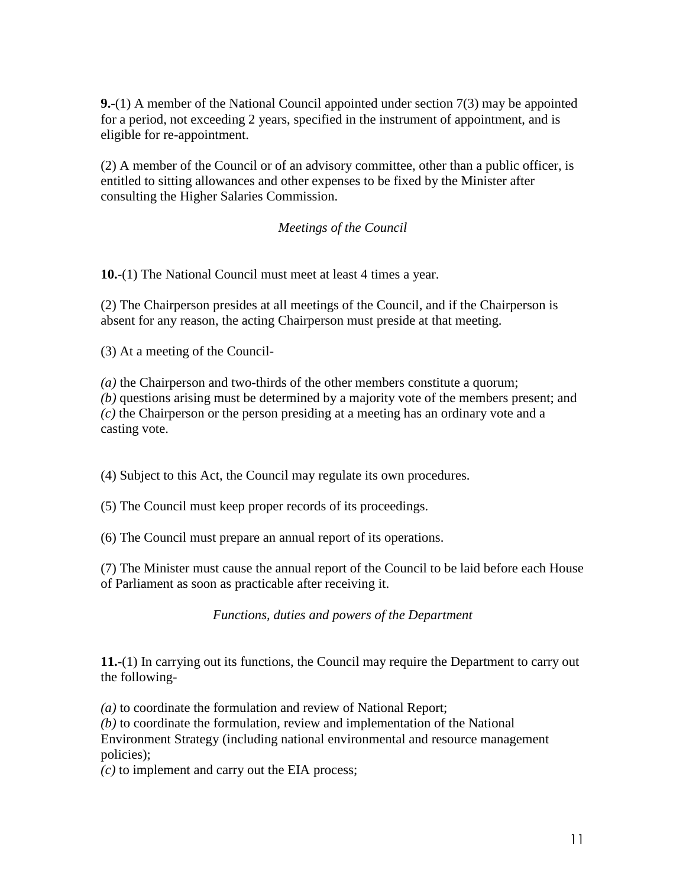**9.**-(1) A member of the National Council appointed under section 7(3) may be appointed for a period, not exceeding 2 years, specified in the instrument of appointment, and is eligible for re-appointment.

(2) A member of the Council or of an advisory committee, other than a public officer, is entitled to sitting allowances and other expenses to be fixed by the Minister after consulting the Higher Salaries Commission.

# *Meetings of the Council*

**10.**-(1) The National Council must meet at least 4 times a year.

(2) The Chairperson presides at all meetings of the Council, and if the Chairperson is absent for any reason, the acting Chairperson must preside at that meeting.

(3) At a meeting of the Council-

*(a)* the Chairperson and two-thirds of the other members constitute a quorum; *(b)* questions arising must be determined by a majority vote of the members present; and *(c)* the Chairperson or the person presiding at a meeting has an ordinary vote and a casting vote.

(4) Subject to this Act, the Council may regulate its own procedures.

(5) The Council must keep proper records of its proceedings.

(6) The Council must prepare an annual report of its operations.

(7) The Minister must cause the annual report of the Council to be laid before each House of Parliament as soon as practicable after receiving it.

*Functions, duties and powers of the Department*

**11.**-(1) In carrying out its functions, the Council may require the Department to carry out the following-

*(a)* to coordinate the formulation and review of National Report;

*(b)* to coordinate the formulation, review and implementation of the National Environment Strategy (including national environmental and resource management policies);

*(c)* to implement and carry out the EIA process;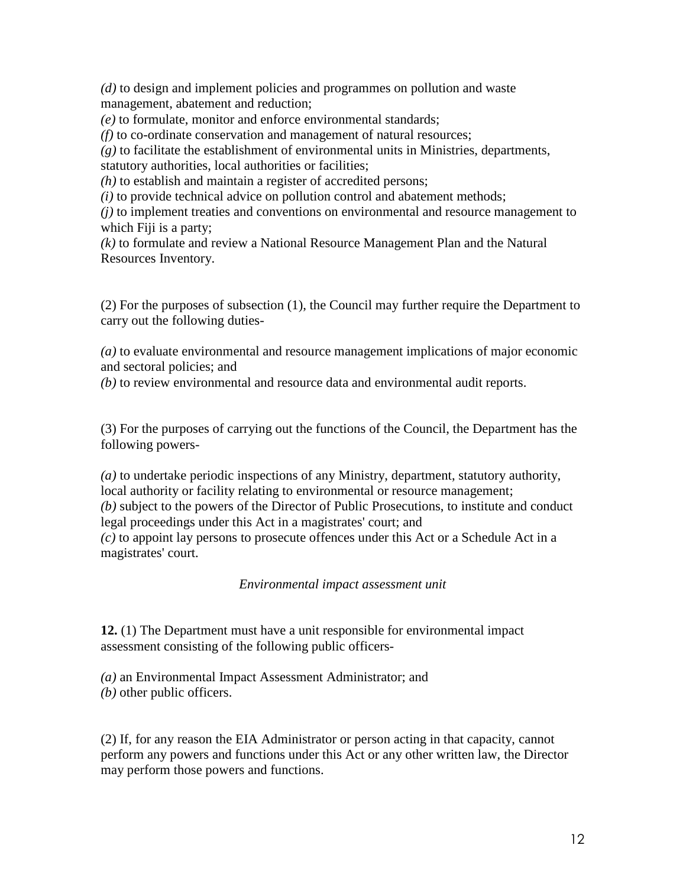*(d)* to design and implement policies and programmes on pollution and waste management, abatement and reduction;

*(e)* to formulate, monitor and enforce environmental standards;

*(f)* to co-ordinate conservation and management of natural resources;

*(g)* to facilitate the establishment of environmental units in Ministries, departments, statutory authorities, local authorities or facilities;

*(h)* to establish and maintain a register of accredited persons;

*(i)* to provide technical advice on pollution control and abatement methods;

*(j)* to implement treaties and conventions on environmental and resource management to which Fiji is a party;

*(k)* to formulate and review a National Resource Management Plan and the Natural Resources Inventory.

(2) For the purposes of subsection (1), the Council may further require the Department to carry out the following duties-

*(a)* to evaluate environmental and resource management implications of major economic and sectoral policies; and

*(b)* to review environmental and resource data and environmental audit reports.

(3) For the purposes of carrying out the functions of the Council, the Department has the following powers-

*(a)* to undertake periodic inspections of any Ministry, department, statutory authority, local authority or facility relating to environmental or resource management; *(b)* subject to the powers of the Director of Public Prosecutions, to institute and conduct legal proceedings under this Act in a magistrates' court; and *(c)* to appoint lay persons to prosecute offences under this Act or a Schedule Act in a magistrates' court.

*Environmental impact assessment unit*

**12.** (1) The Department must have a unit responsible for environmental impact assessment consisting of the following public officers-

*(a)* an Environmental Impact Assessment Administrator; and *(b)* other public officers.

(2) If, for any reason the EIA Administrator or person acting in that capacity, cannot perform any powers and functions under this Act or any other written law, the Director may perform those powers and functions.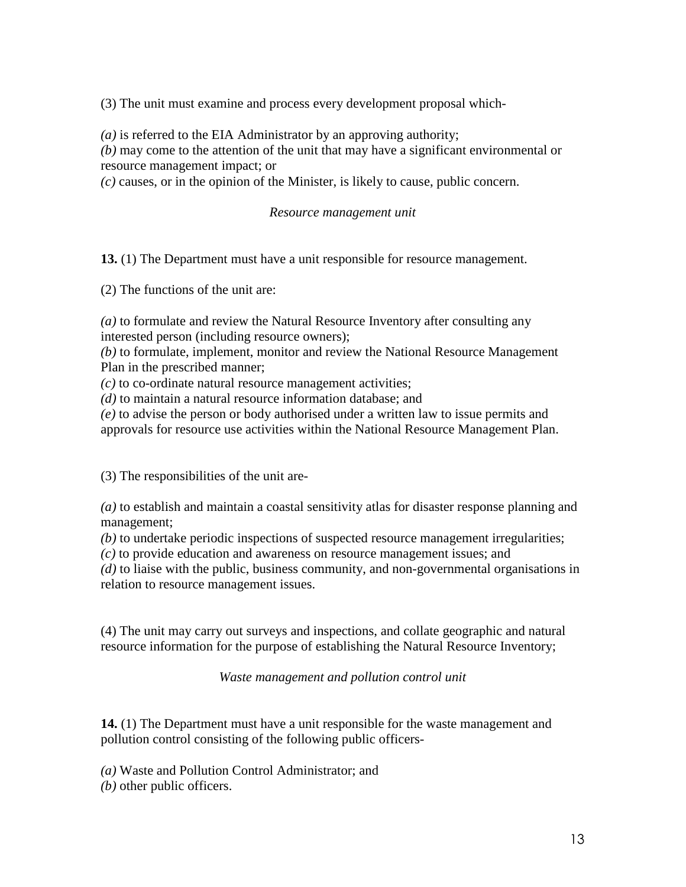(3) The unit must examine and process every development proposal which-

*(a)* is referred to the EIA Administrator by an approving authority;

*(b)* may come to the attention of the unit that may have a significant environmental or resource management impact; or

*(c)* causes, or in the opinion of the Minister, is likely to cause, public concern.

#### *Resource management unit*

**13.** (1) The Department must have a unit responsible for resource management.

(2) The functions of the unit are:

*(a)* to formulate and review the Natural Resource Inventory after consulting any interested person (including resource owners);

*(b)* to formulate, implement, monitor and review the National Resource Management Plan in the prescribed manner;

*(c)* to co-ordinate natural resource management activities;

*(d)* to maintain a natural resource information database; and

*(e)* to advise the person or body authorised under a written law to issue permits and approvals for resource use activities within the National Resource Management Plan.

(3) The responsibilities of the unit are-

*(a)* to establish and maintain a coastal sensitivity atlas for disaster response planning and management;

*(b)* to undertake periodic inspections of suspected resource management irregularities;

*(c)* to provide education and awareness on resource management issues; and

*(d)* to liaise with the public, business community, and non-governmental organisations in relation to resource management issues.

(4) The unit may carry out surveys and inspections, and collate geographic and natural resource information for the purpose of establishing the Natural Resource Inventory;

*Waste management and pollution control unit*

**14.** (1) The Department must have a unit responsible for the waste management and pollution control consisting of the following public officers-

*(a)* Waste and Pollution Control Administrator; and

*(b)* other public officers.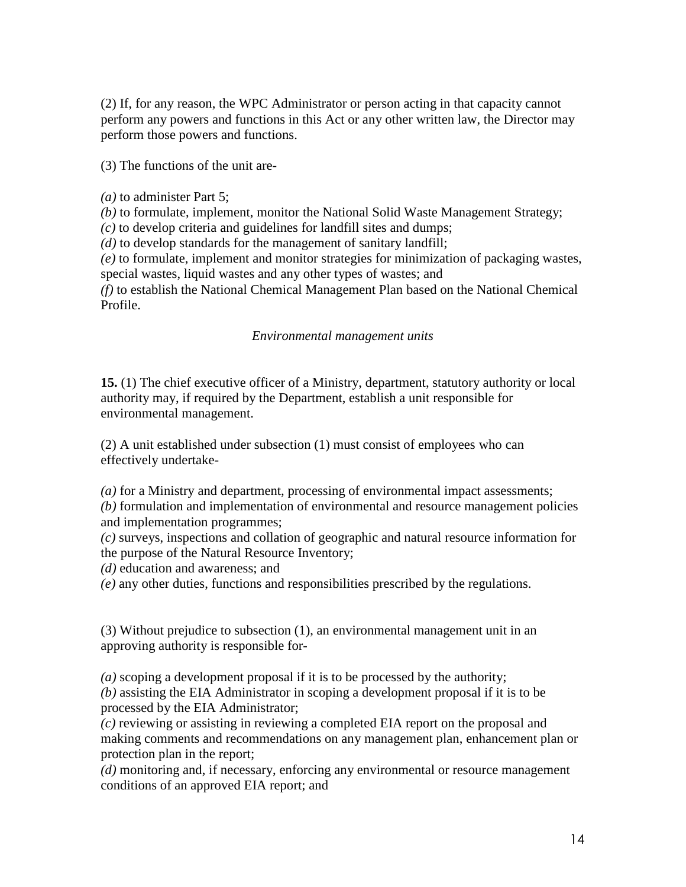(2) If, for any reason, the WPC Administrator or person acting in that capacity cannot perform any powers and functions in this Act or any other written law, the Director may perform those powers and functions.

(3) The functions of the unit are-

*(a)* to administer Part 5;

*(b)* to formulate, implement, monitor the National Solid Waste Management Strategy;

*(c)* to develop criteria and guidelines for landfill sites and dumps;

*(d)* to develop standards for the management of sanitary landfill;

*(e)* to formulate, implement and monitor strategies for minimization of packaging wastes, special wastes, liquid wastes and any other types of wastes; and

*(f)* to establish the National Chemical Management Plan based on the National Chemical Profile.

### *Environmental management units*

**15.** (1) The chief executive officer of a Ministry, department, statutory authority or local authority may, if required by the Department, establish a unit responsible for environmental management.

(2) A unit established under subsection (1) must consist of employees who can effectively undertake-

*(a)* for a Ministry and department, processing of environmental impact assessments;

*(b)* formulation and implementation of environmental and resource management policies and implementation programmes;

*(c)* surveys, inspections and collation of geographic and natural resource information for the purpose of the Natural Resource Inventory;

*(d)* education and awareness; and

*(e)* any other duties, functions and responsibilities prescribed by the regulations.

(3) Without prejudice to subsection (1), an environmental management unit in an approving authority is responsible for-

*(a)* scoping a development proposal if it is to be processed by the authority;

*(b)* assisting the EIA Administrator in scoping a development proposal if it is to be processed by the EIA Administrator;

*(c)* reviewing or assisting in reviewing a completed EIA report on the proposal and making comments and recommendations on any management plan, enhancement plan or protection plan in the report;

*(d)* monitoring and, if necessary, enforcing any environmental or resource management conditions of an approved EIA report; and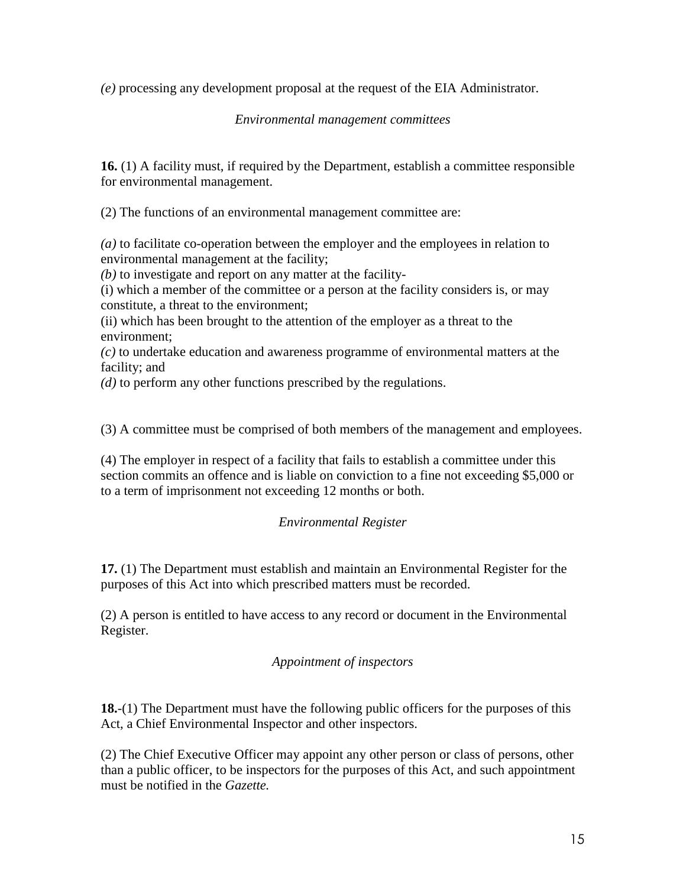*(e)* processing any development proposal at the request of the EIA Administrator.

*Environmental management committees*

**16.** (1) A facility must, if required by the Department, establish a committee responsible for environmental management.

(2) The functions of an environmental management committee are:

*(a)* to facilitate co-operation between the employer and the employees in relation to environmental management at the facility;

*(b)* to investigate and report on any matter at the facility-

(i) which a member of the committee or a person at the facility considers is, or may constitute, a threat to the environment;

(ii) which has been brought to the attention of the employer as a threat to the environment;

*(c)* to undertake education and awareness programme of environmental matters at the facility; and

*(d)* to perform any other functions prescribed by the regulations.

(3) A committee must be comprised of both members of the management and employees.

(4) The employer in respect of a facility that fails to establish a committee under this section commits an offence and is liable on conviction to a fine not exceeding \$5,000 or to a term of imprisonment not exceeding 12 months or both.

# *Environmental Register*

**17.** (1) The Department must establish and maintain an Environmental Register for the purposes of this Act into which prescribed matters must be recorded.

(2) A person is entitled to have access to any record or document in the Environmental Register.

# *Appointment of inspectors*

**18.**-(1) The Department must have the following public officers for the purposes of this Act, a Chief Environmental Inspector and other inspectors.

(2) The Chief Executive Officer may appoint any other person or class of persons, other than a public officer, to be inspectors for the purposes of this Act, and such appointment must be notified in the *Gazette.*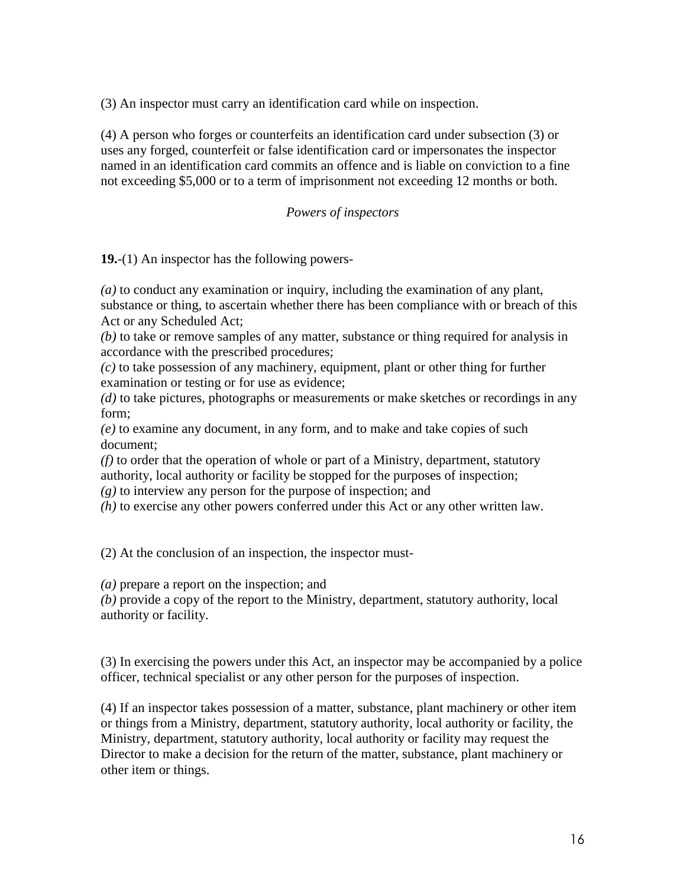(3) An inspector must carry an identification card while on inspection.

(4) A person who forges or counterfeits an identification card under subsection (3) or uses any forged, counterfeit or false identification card or impersonates the inspector named in an identification card commits an offence and is liable on conviction to a fine not exceeding \$5,000 or to a term of imprisonment not exceeding 12 months or both.

### *Powers of inspectors*

**19.**-(1) An inspector has the following powers-

*(a)* to conduct any examination or inquiry, including the examination of any plant, substance or thing, to ascertain whether there has been compliance with or breach of this Act or any Scheduled Act;

*(b)* to take or remove samples of any matter, substance or thing required for analysis in accordance with the prescribed procedures;

*(c)* to take possession of any machinery, equipment, plant or other thing for further examination or testing or for use as evidence;

*(d)* to take pictures, photographs or measurements or make sketches or recordings in any form;

*(e)* to examine any document, in any form, and to make and take copies of such document;

*(f)* to order that the operation of whole or part of a Ministry, department, statutory authority, local authority or facility be stopped for the purposes of inspection;

*(g)* to interview any person for the purpose of inspection; and

*(h)* to exercise any other powers conferred under this Act or any other written law.

(2) At the conclusion of an inspection, the inspector must-

*(a)* prepare a report on the inspection; and

*(b)* provide a copy of the report to the Ministry, department, statutory authority, local authority or facility.

(3) In exercising the powers under this Act, an inspector may be accompanied by a police officer, technical specialist or any other person for the purposes of inspection.

(4) If an inspector takes possession of a matter, substance, plant machinery or other item or things from a Ministry, department, statutory authority, local authority or facility, the Ministry, department, statutory authority, local authority or facility may request the Director to make a decision for the return of the matter, substance, plant machinery or other item or things.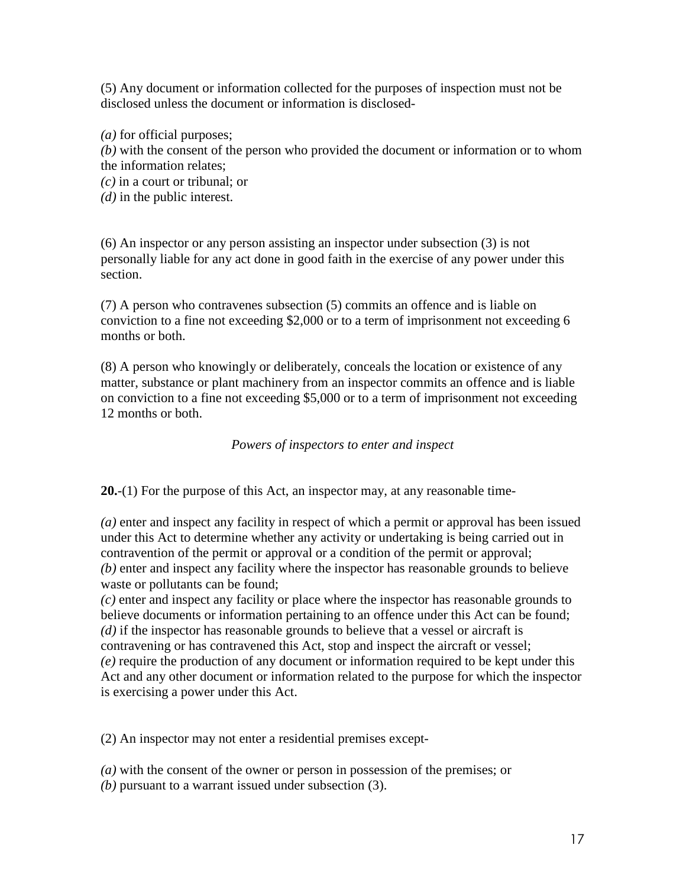(5) Any document or information collected for the purposes of inspection must not be disclosed unless the document or information is disclosed-

*(a)* for official purposes;

*(b)* with the consent of the person who provided the document or information or to whom the information relates;

*(c)* in a court or tribunal; or

*(d)* in the public interest.

(6) An inspector or any person assisting an inspector under subsection (3) is not personally liable for any act done in good faith in the exercise of any power under this section.

(7) A person who contravenes subsection (5) commits an offence and is liable on conviction to a fine not exceeding \$2,000 or to a term of imprisonment not exceeding 6 months or both.

(8) A person who knowingly or deliberately, conceals the location or existence of any matter, substance or plant machinery from an inspector commits an offence and is liable on conviction to a fine not exceeding \$5,000 or to a term of imprisonment not exceeding 12 months or both.

*Powers of inspectors to enter and inspect*

**20.**-(1) For the purpose of this Act, an inspector may, at any reasonable time-

*(a)* enter and inspect any facility in respect of which a permit or approval has been issued under this Act to determine whether any activity or undertaking is being carried out in contravention of the permit or approval or a condition of the permit or approval; *(b)* enter and inspect any facility where the inspector has reasonable grounds to believe waste or pollutants can be found;

*(c)* enter and inspect any facility or place where the inspector has reasonable grounds to believe documents or information pertaining to an offence under this Act can be found; *(d)* if the inspector has reasonable grounds to believe that a vessel or aircraft is contravening or has contravened this Act, stop and inspect the aircraft or vessel; *(e)* require the production of any document or information required to be kept under this Act and any other document or information related to the purpose for which the inspector is exercising a power under this Act.

(2) An inspector may not enter a residential premises except-

*(a)* with the consent of the owner or person in possession of the premises; or

*(b)* pursuant to a warrant issued under subsection (3).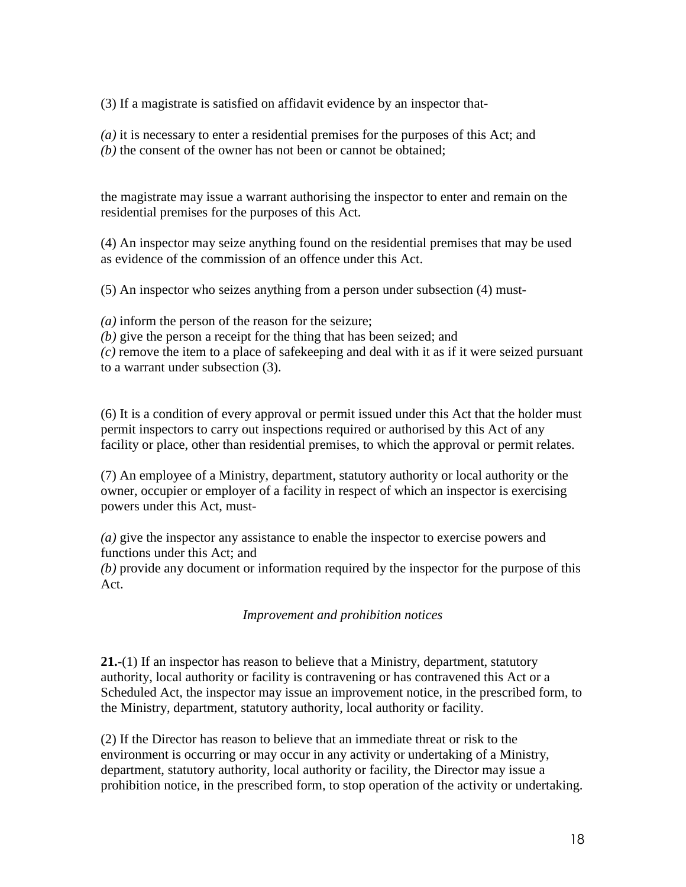(3) If a magistrate is satisfied on affidavit evidence by an inspector that-

*(a)* it is necessary to enter a residential premises for the purposes of this Act; and *(b)* the consent of the owner has not been or cannot be obtained;

the magistrate may issue a warrant authorising the inspector to enter and remain on the residential premises for the purposes of this Act.

(4) An inspector may seize anything found on the residential premises that may be used as evidence of the commission of an offence under this Act.

(5) An inspector who seizes anything from a person under subsection (4) must-

*(a)* inform the person of the reason for the seizure;

*(b)* give the person a receipt for the thing that has been seized; and

*(c)* remove the item to a place of safekeeping and deal with it as if it were seized pursuant to a warrant under subsection (3).

(6) It is a condition of every approval or permit issued under this Act that the holder must permit inspectors to carry out inspections required or authorised by this Act of any facility or place, other than residential premises, to which the approval or permit relates.

(7) An employee of a Ministry, department, statutory authority or local authority or the owner, occupier or employer of a facility in respect of which an inspector is exercising powers under this Act, must-

*(a)* give the inspector any assistance to enable the inspector to exercise powers and functions under this Act; and

*(b)* provide any document or information required by the inspector for the purpose of this Act.

*Improvement and prohibition notices*

**21.**-(1) If an inspector has reason to believe that a Ministry, department, statutory authority, local authority or facility is contravening or has contravened this Act or a Scheduled Act, the inspector may issue an improvement notice, in the prescribed form, to the Ministry, department, statutory authority, local authority or facility.

(2) If the Director has reason to believe that an immediate threat or risk to the environment is occurring or may occur in any activity or undertaking of a Ministry, department, statutory authority, local authority or facility, the Director may issue a prohibition notice, in the prescribed form, to stop operation of the activity or undertaking.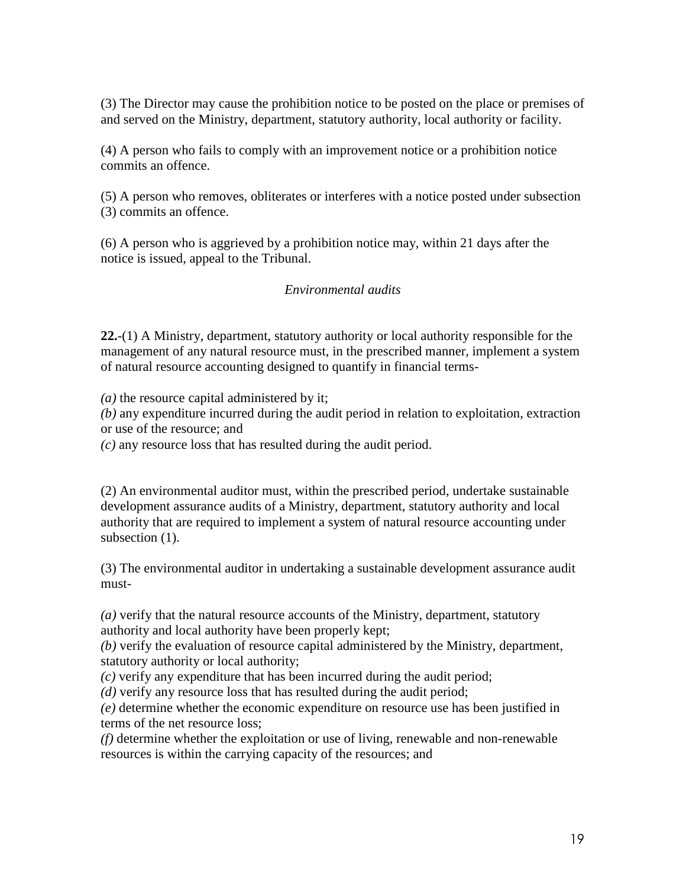(3) The Director may cause the prohibition notice to be posted on the place or premises of and served on the Ministry, department, statutory authority, local authority or facility.

(4) A person who fails to comply with an improvement notice or a prohibition notice commits an offence.

(5) A person who removes, obliterates or interferes with a notice posted under subsection (3) commits an offence.

(6) A person who is aggrieved by a prohibition notice may, within 21 days after the notice is issued, appeal to the Tribunal.

### *Environmental audits*

**22.**-(1) A Ministry, department, statutory authority or local authority responsible for the management of any natural resource must, in the prescribed manner, implement a system of natural resource accounting designed to quantify in financial terms-

*(a)* the resource capital administered by it;

*(b)* any expenditure incurred during the audit period in relation to exploitation, extraction or use of the resource; and

*(c)* any resource loss that has resulted during the audit period.

(2) An environmental auditor must, within the prescribed period, undertake sustainable development assurance audits of a Ministry, department, statutory authority and local authority that are required to implement a system of natural resource accounting under subsection (1).

(3) The environmental auditor in undertaking a sustainable development assurance audit must-

*(a)* verify that the natural resource accounts of the Ministry, department, statutory authority and local authority have been properly kept;

*(b)* verify the evaluation of resource capital administered by the Ministry, department, statutory authority or local authority;

*(c)* verify any expenditure that has been incurred during the audit period;

*(d)* verify any resource loss that has resulted during the audit period;

*(e)* determine whether the economic expenditure on resource use has been justified in terms of the net resource loss;

*(f)* determine whether the exploitation or use of living, renewable and non-renewable resources is within the carrying capacity of the resources; and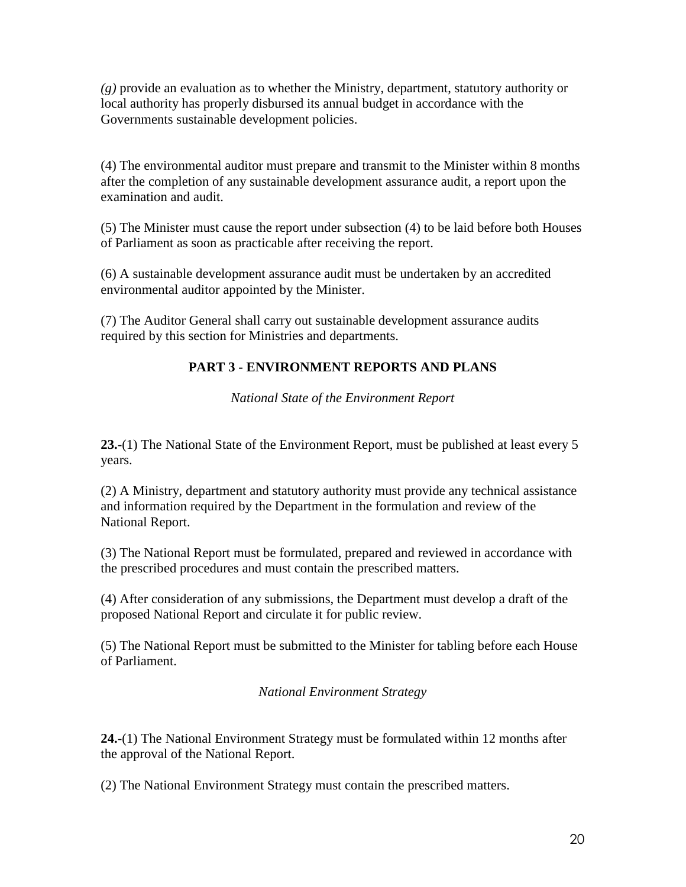*(g)* provide an evaluation as to whether the Ministry, department, statutory authority or local authority has properly disbursed its annual budget in accordance with the Governments sustainable development policies.

(4) The environmental auditor must prepare and transmit to the Minister within 8 months after the completion of any sustainable development assurance audit, a report upon the examination and audit.

(5) The Minister must cause the report under subsection (4) to be laid before both Houses of Parliament as soon as practicable after receiving the report.

(6) A sustainable development assurance audit must be undertaken by an accredited environmental auditor appointed by the Minister.

(7) The Auditor General shall carry out sustainable development assurance audits required by this section for Ministries and departments.

# **PART 3 - ENVIRONMENT REPORTS AND PLANS**

*National State of the Environment Report*

**23.**-(1) The National State of the Environment Report, must be published at least every 5 years.

(2) A Ministry, department and statutory authority must provide any technical assistance and information required by the Department in the formulation and review of the National Report.

(3) The National Report must be formulated, prepared and reviewed in accordance with the prescribed procedures and must contain the prescribed matters.

(4) After consideration of any submissions, the Department must develop a draft of the proposed National Report and circulate it for public review.

(5) The National Report must be submitted to the Minister for tabling before each House of Parliament.

# *National Environment Strategy*

**24.**-(1) The National Environment Strategy must be formulated within 12 months after the approval of the National Report.

(2) The National Environment Strategy must contain the prescribed matters.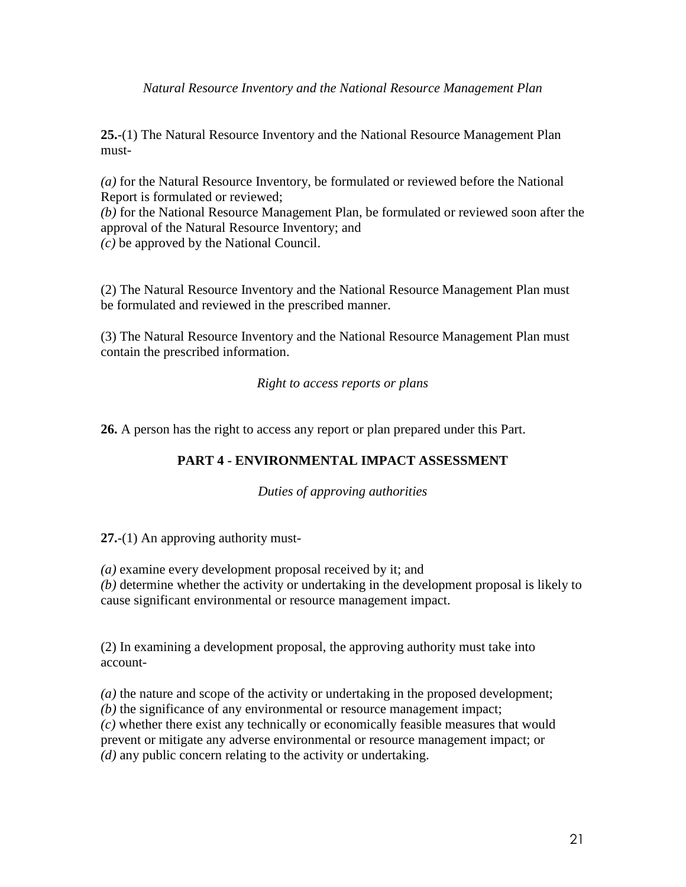*Natural Resource Inventory and the National Resource Management Plan*

**25.**-(1) The Natural Resource Inventory and the National Resource Management Plan must-

*(a)* for the Natural Resource Inventory, be formulated or reviewed before the National Report is formulated or reviewed;

*(b)* for the National Resource Management Plan, be formulated or reviewed soon after the approval of the Natural Resource Inventory; and *(c)* be approved by the National Council.

(2) The Natural Resource Inventory and the National Resource Management Plan must be formulated and reviewed in the prescribed manner.

(3) The Natural Resource Inventory and the National Resource Management Plan must contain the prescribed information.

*Right to access reports or plans*

**26.** A person has the right to access any report or plan prepared under this Part.

# **PART 4 - ENVIRONMENTAL IMPACT ASSESSMENT**

*Duties of approving authorities*

**27.**-(1) An approving authority must-

*(a)* examine every development proposal received by it; and

*(b)* determine whether the activity or undertaking in the development proposal is likely to cause significant environmental or resource management impact.

(2) In examining a development proposal, the approving authority must take into account-

*(a)* the nature and scope of the activity or undertaking in the proposed development; *(b)* the significance of any environmental or resource management impact; *(c)* whether there exist any technically or economically feasible measures that would prevent or mitigate any adverse environmental or resource management impact; or *(d)* any public concern relating to the activity or undertaking.

21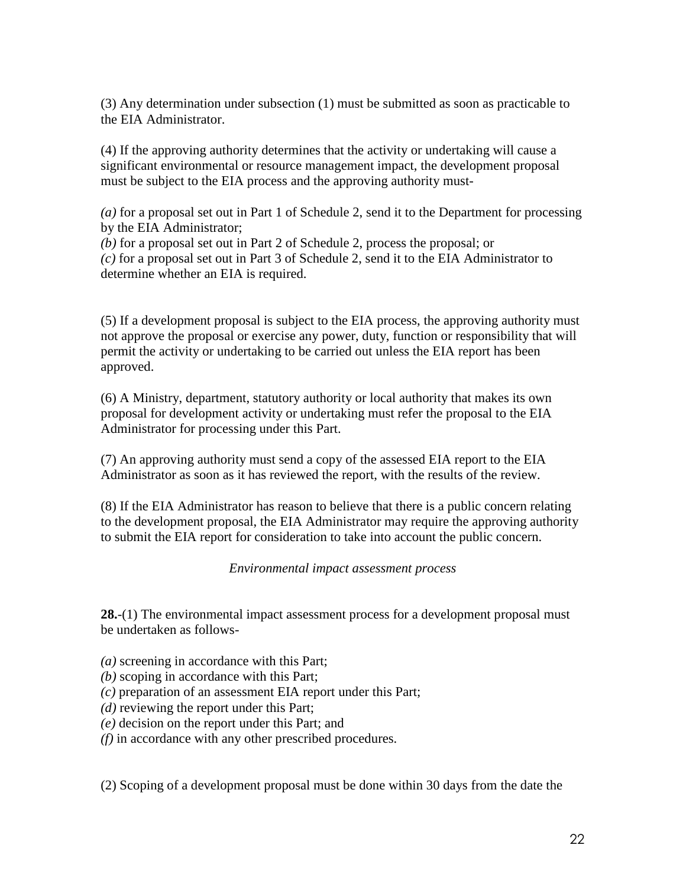(3) Any determination under subsection (1) must be submitted as soon as practicable to the EIA Administrator.

(4) If the approving authority determines that the activity or undertaking will cause a significant environmental or resource management impact, the development proposal must be subject to the EIA process and the approving authority must-

*(a)* for a proposal set out in Part 1 of Schedule 2, send it to the Department for processing by the EIA Administrator;

*(b)* for a proposal set out in Part 2 of Schedule 2, process the proposal; or *(c)* for a proposal set out in Part 3 of Schedule 2, send it to the EIA Administrator to determine whether an EIA is required.

(5) If a development proposal is subject to the EIA process, the approving authority must not approve the proposal or exercise any power, duty, function or responsibility that will permit the activity or undertaking to be carried out unless the EIA report has been approved.

(6) A Ministry, department, statutory authority or local authority that makes its own proposal for development activity or undertaking must refer the proposal to the EIA Administrator for processing under this Part.

(7) An approving authority must send a copy of the assessed EIA report to the EIA Administrator as soon as it has reviewed the report, with the results of the review.

(8) If the EIA Administrator has reason to believe that there is a public concern relating to the development proposal, the EIA Administrator may require the approving authority to submit the EIA report for consideration to take into account the public concern.

#### *Environmental impact assessment process*

**28.**-(1) The environmental impact assessment process for a development proposal must be undertaken as follows-

- *(a)* screening in accordance with this Part;
- *(b)* scoping in accordance with this Part;
- *(c)* preparation of an assessment EIA report under this Part;
- *(d)* reviewing the report under this Part;
- *(e)* decision on the report under this Part; and
- *(f)* in accordance with any other prescribed procedures.

(2) Scoping of a development proposal must be done within 30 days from the date the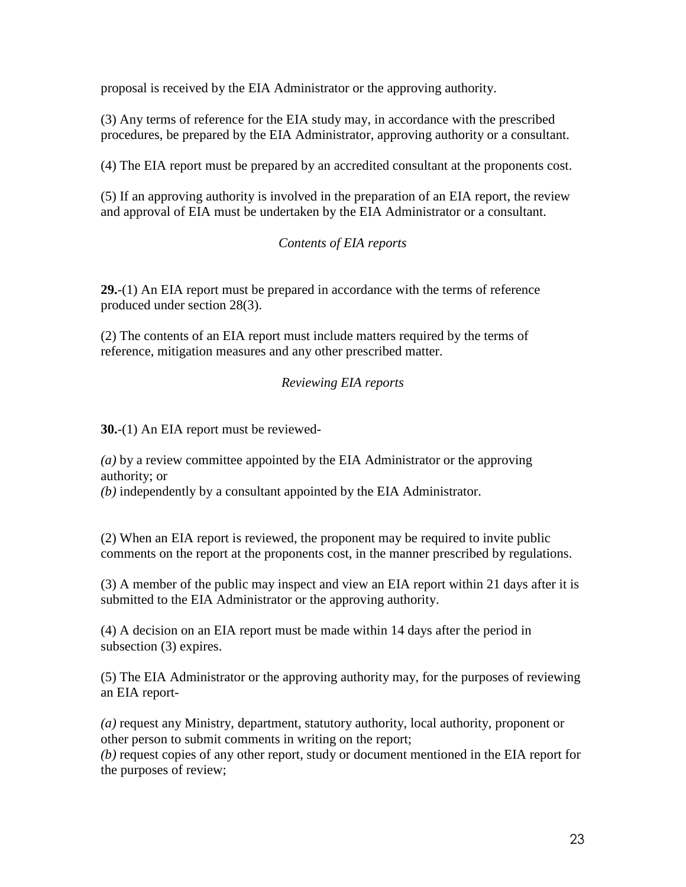proposal is received by the EIA Administrator or the approving authority.

(3) Any terms of reference for the EIA study may, in accordance with the prescribed procedures, be prepared by the EIA Administrator, approving authority or a consultant.

(4) The EIA report must be prepared by an accredited consultant at the proponents cost.

(5) If an approving authority is involved in the preparation of an EIA report, the review and approval of EIA must be undertaken by the EIA Administrator or a consultant.

### *Contents of EIA reports*

**29.**-(1) An EIA report must be prepared in accordance with the terms of reference produced under section 28(3).

(2) The contents of an EIA report must include matters required by the terms of reference, mitigation measures and any other prescribed matter.

### *Reviewing EIA reports*

**30.**-(1) An EIA report must be reviewed-

*(a)* by a review committee appointed by the EIA Administrator or the approving authority; or

*(b)* independently by a consultant appointed by the EIA Administrator.

(2) When an EIA report is reviewed, the proponent may be required to invite public comments on the report at the proponents cost, in the manner prescribed by regulations.

(3) A member of the public may inspect and view an EIA report within 21 days after it is submitted to the EIA Administrator or the approving authority.

(4) A decision on an EIA report must be made within 14 days after the period in subsection (3) expires.

(5) The EIA Administrator or the approving authority may, for the purposes of reviewing an EIA report-

*(a)* request any Ministry, department, statutory authority, local authority, proponent or other person to submit comments in writing on the report;

*(b)* request copies of any other report, study or document mentioned in the EIA report for the purposes of review;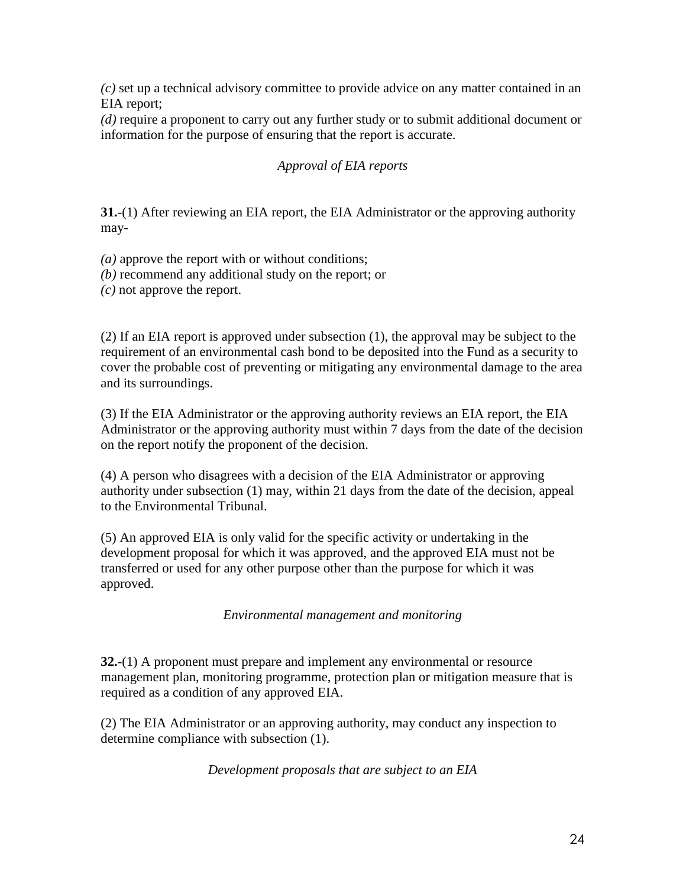*(c)* set up a technical advisory committee to provide advice on any matter contained in an EIA report;

*(d)* require a proponent to carry out any further study or to submit additional document or information for the purpose of ensuring that the report is accurate.

# *Approval of EIA reports*

**31.**-(1) After reviewing an EIA report, the EIA Administrator or the approving authority may-

*(a)* approve the report with or without conditions;

- *(b)* recommend any additional study on the report; or
- *(c)* not approve the report.

(2) If an EIA report is approved under subsection (1), the approval may be subject to the requirement of an environmental cash bond to be deposited into the Fund as a security to cover the probable cost of preventing or mitigating any environmental damage to the area and its surroundings.

(3) If the EIA Administrator or the approving authority reviews an EIA report, the EIA Administrator or the approving authority must within 7 days from the date of the decision on the report notify the proponent of the decision.

(4) A person who disagrees with a decision of the EIA Administrator or approving authority under subsection (1) may, within 21 days from the date of the decision, appeal to the Environmental Tribunal.

(5) An approved EIA is only valid for the specific activity or undertaking in the development proposal for which it was approved, and the approved EIA must not be transferred or used for any other purpose other than the purpose for which it was approved.

*Environmental management and monitoring*

**32.**-(1) A proponent must prepare and implement any environmental or resource management plan, monitoring programme, protection plan or mitigation measure that is required as a condition of any approved EIA.

(2) The EIA Administrator or an approving authority, may conduct any inspection to determine compliance with subsection (1).

*Development proposals that are subject to an EIA*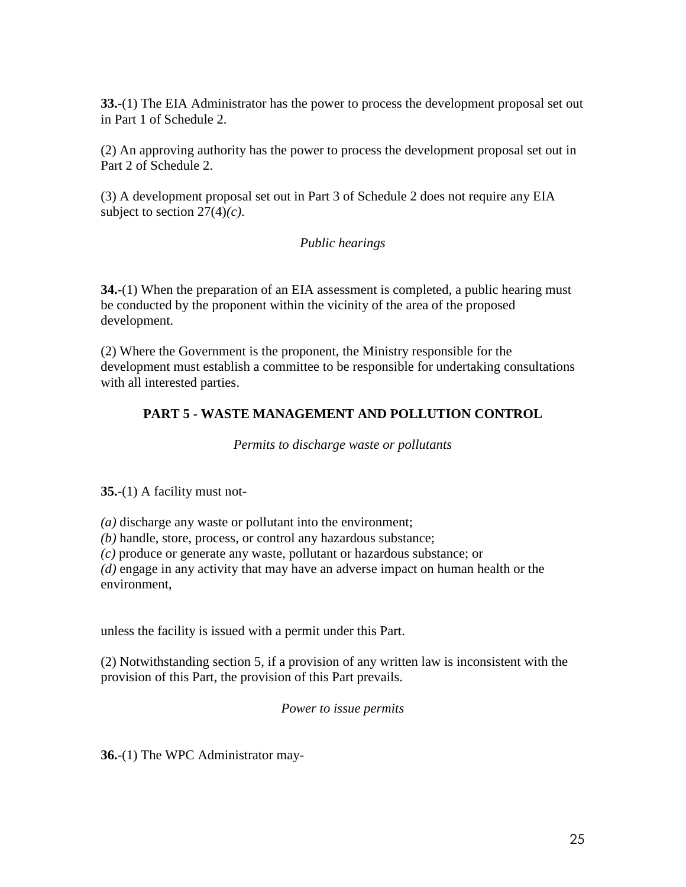**33.**-(1) The EIA Administrator has the power to process the development proposal set out in Part 1 of Schedule 2.

(2) An approving authority has the power to process the development proposal set out in Part 2 of Schedule 2.

(3) A development proposal set out in Part 3 of Schedule 2 does not require any EIA subject to section 27(4)*(c)*.

### *Public hearings*

**34.**-(1) When the preparation of an EIA assessment is completed, a public hearing must be conducted by the proponent within the vicinity of the area of the proposed development.

(2) Where the Government is the proponent, the Ministry responsible for the development must establish a committee to be responsible for undertaking consultations with all interested parties.

# **PART 5 - WASTE MANAGEMENT AND POLLUTION CONTROL**

*Permits to discharge waste or pollutants*

**35.**-(1) A facility must not-

*(a)* discharge any waste or pollutant into the environment;

*(b)* handle, store, process, or control any hazardous substance;

*(c)* produce or generate any waste, pollutant or hazardous substance; or

*(d)* engage in any activity that may have an adverse impact on human health or the environment,

unless the facility is issued with a permit under this Part.

(2) Notwithstanding section 5, if a provision of any written law is inconsistent with the provision of this Part, the provision of this Part prevails.

*Power to issue permits*

**36.**-(1) The WPC Administrator may-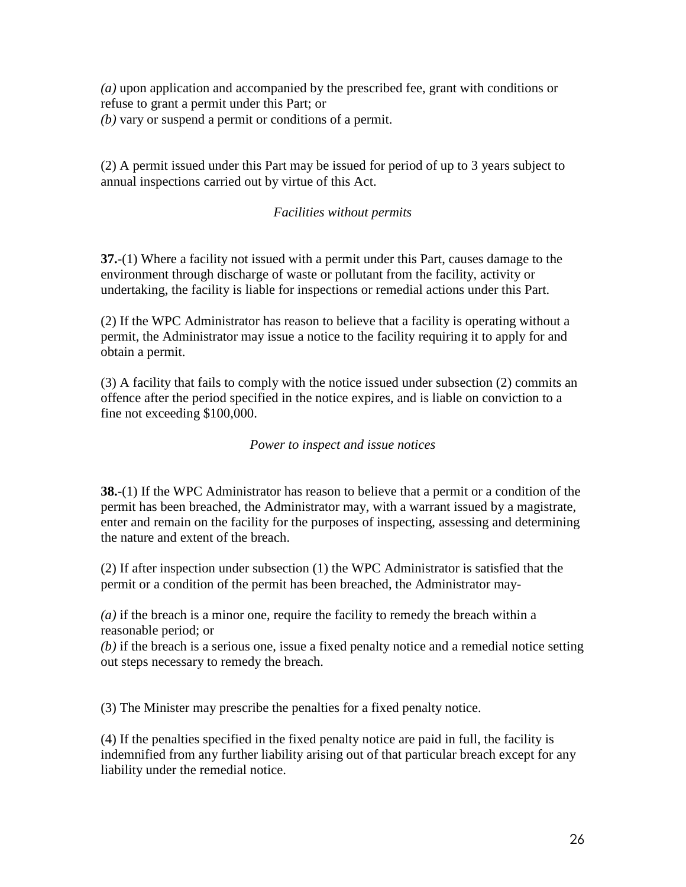*(a)* upon application and accompanied by the prescribed fee, grant with conditions or refuse to grant a permit under this Part; or *(b)* vary or suspend a permit or conditions of a permit.

(2) A permit issued under this Part may be issued for period of up to 3 years subject to annual inspections carried out by virtue of this Act.

### *Facilities without permits*

**37.**-(1) Where a facility not issued with a permit under this Part, causes damage to the environment through discharge of waste or pollutant from the facility, activity or undertaking, the facility is liable for inspections or remedial actions under this Part.

(2) If the WPC Administrator has reason to believe that a facility is operating without a permit, the Administrator may issue a notice to the facility requiring it to apply for and obtain a permit.

(3) A facility that fails to comply with the notice issued under subsection (2) commits an offence after the period specified in the notice expires, and is liable on conviction to a fine not exceeding \$100,000.

#### *Power to inspect and issue notices*

**38.**-(1) If the WPC Administrator has reason to believe that a permit or a condition of the permit has been breached, the Administrator may, with a warrant issued by a magistrate, enter and remain on the facility for the purposes of inspecting, assessing and determining the nature and extent of the breach.

(2) If after inspection under subsection (1) the WPC Administrator is satisfied that the permit or a condition of the permit has been breached, the Administrator may-

*(a)* if the breach is a minor one, require the facility to remedy the breach within a reasonable period; or

*(b)* if the breach is a serious one, issue a fixed penalty notice and a remedial notice setting out steps necessary to remedy the breach.

(3) The Minister may prescribe the penalties for a fixed penalty notice.

(4) If the penalties specified in the fixed penalty notice are paid in full, the facility is indemnified from any further liability arising out of that particular breach except for any liability under the remedial notice.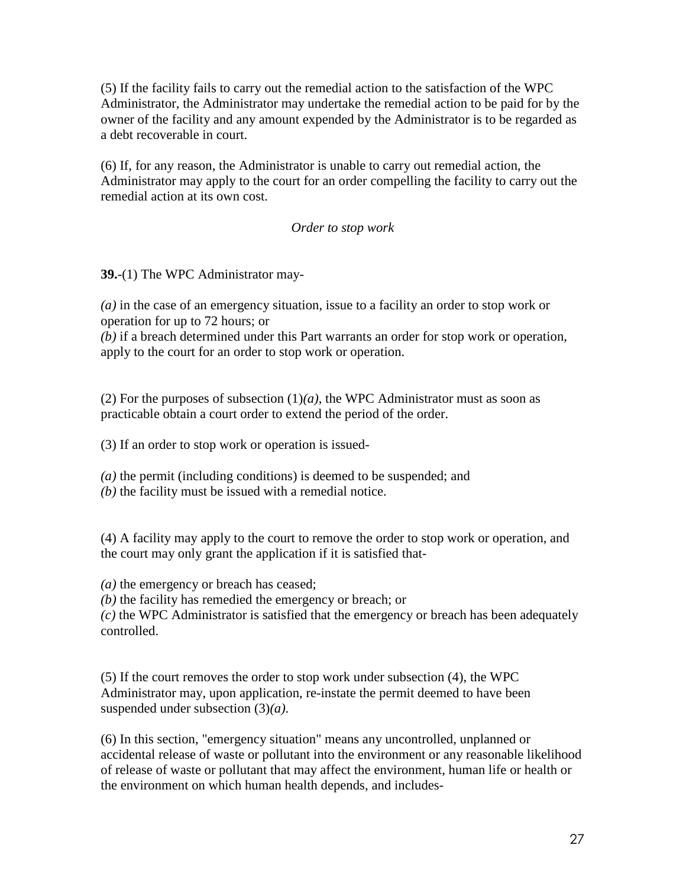(5) If the facility fails to carry out the remedial action to the satisfaction of the WPC Administrator, the Administrator may undertake the remedial action to be paid for by the owner of the facility and any amount expended by the Administrator is to be regarded as a debt recoverable in court.

(6) If, for any reason, the Administrator is unable to carry out remedial action, the Administrator may apply to the court for an order compelling the facility to carry out the remedial action at its own cost.

#### *Order to stop work*

**39.**-(1) The WPC Administrator may-

*(a)* in the case of an emergency situation, issue to a facility an order to stop work or operation for up to 72 hours; or

*(b)* if a breach determined under this Part warrants an order for stop work or operation, apply to the court for an order to stop work or operation.

(2) For the purposes of subsection  $(1)(a)$ , the WPC Administrator must as soon as practicable obtain a court order to extend the period of the order.

(3) If an order to stop work or operation is issued-

*(a)* the permit (including conditions) is deemed to be suspended; and *(b)* the facility must be issued with a remedial notice.

(4) A facility may apply to the court to remove the order to stop work or operation, and the court may only grant the application if it is satisfied that-

*(a)* the emergency or breach has ceased;

*(b)* the facility has remedied the emergency or breach; or

*(c)* the WPC Administrator is satisfied that the emergency or breach has been adequately controlled.

(5) If the court removes the order to stop work under subsection (4), the WPC Administrator may, upon application, re-instate the permit deemed to have been suspended under subsection (3)*(a)*.

(6) In this section, "emergency situation" means any uncontrolled, unplanned or accidental release of waste or pollutant into the environment or any reasonable likelihood of release of waste or pollutant that may affect the environment, human life or health or the environment on which human health depends, and includes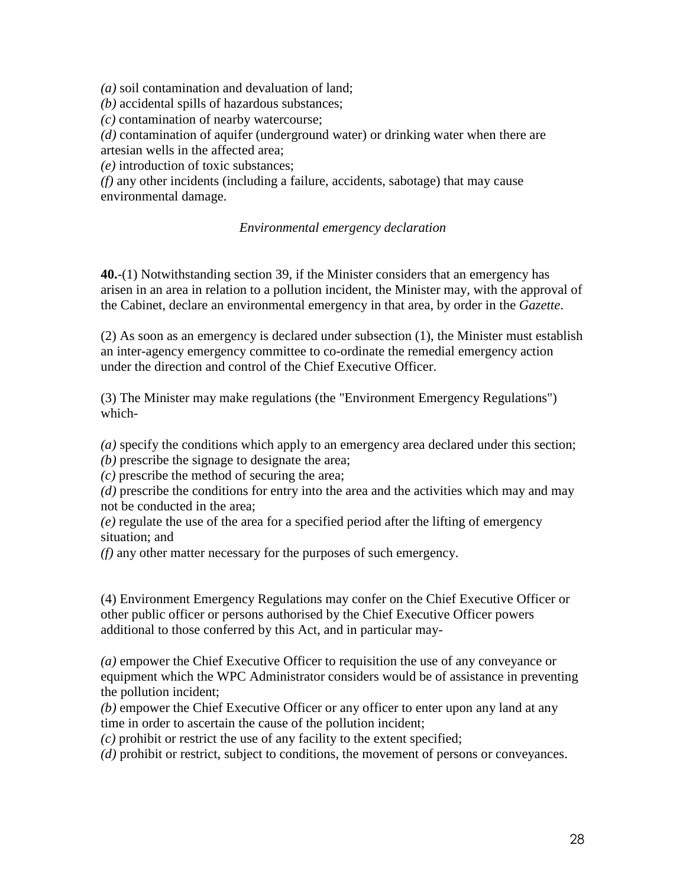*(a)* soil contamination and devaluation of land;

*(b)* accidental spills of hazardous substances;

*(c)* contamination of nearby watercourse;

*(d)* contamination of aquifer (underground water) or drinking water when there are artesian wells in the affected area;

*(e)* introduction of toxic substances;

*(f)* any other incidents (including a failure, accidents, sabotage) that may cause environmental damage.

#### *Environmental emergency declaration*

**40.**-(1) Notwithstanding section 39, if the Minister considers that an emergency has arisen in an area in relation to a pollution incident, the Minister may, with the approval of the Cabinet, declare an environmental emergency in that area, by order in the *Gazette*.

(2) As soon as an emergency is declared under subsection (1), the Minister must establish an inter-agency emergency committee to co-ordinate the remedial emergency action under the direction and control of the Chief Executive Officer.

(3) The Minister may make regulations (the "Environment Emergency Regulations") which-

*(a)* specify the conditions which apply to an emergency area declared under this section;

*(b)* prescribe the signage to designate the area;

*(c)* prescribe the method of securing the area;

*(d)* prescribe the conditions for entry into the area and the activities which may and may not be conducted in the area;

*(e)* regulate the use of the area for a specified period after the lifting of emergency situation; and

*(f)* any other matter necessary for the purposes of such emergency.

(4) Environment Emergency Regulations may confer on the Chief Executive Officer or other public officer or persons authorised by the Chief Executive Officer powers additional to those conferred by this Act, and in particular may-

*(a)* empower the Chief Executive Officer to requisition the use of any conveyance or equipment which the WPC Administrator considers would be of assistance in preventing the pollution incident;

*(b)* empower the Chief Executive Officer or any officer to enter upon any land at any time in order to ascertain the cause of the pollution incident;

*(c)* prohibit or restrict the use of any facility to the extent specified;

*(d)* prohibit or restrict, subject to conditions, the movement of persons or conveyances.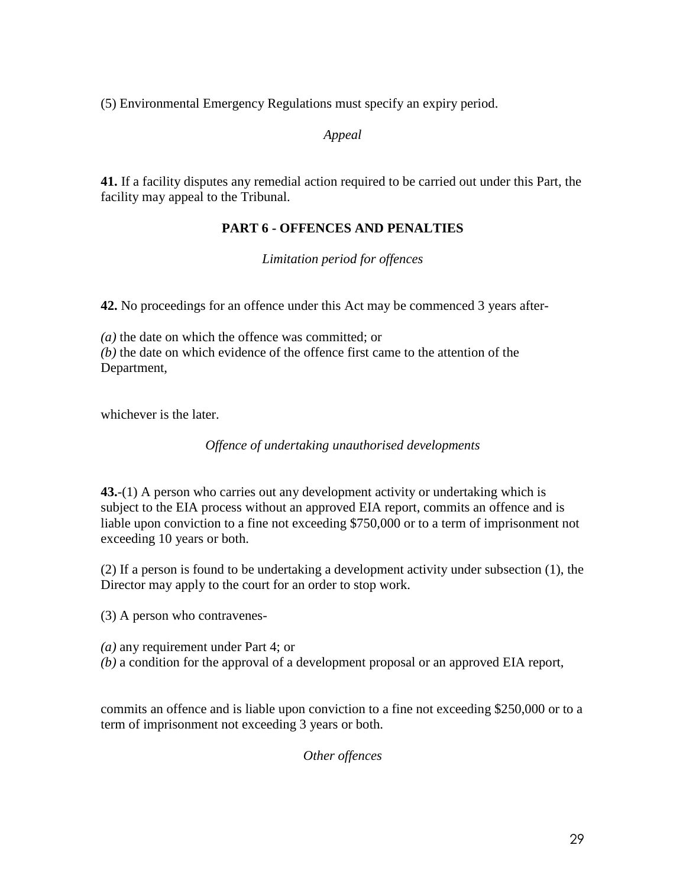(5) Environmental Emergency Regulations must specify an expiry period.

*Appeal*

**41.** If a facility disputes any remedial action required to be carried out under this Part, the facility may appeal to the Tribunal.

# **PART 6 - OFFENCES AND PENALTIES**

*Limitation period for offences*

**42.** No proceedings for an offence under this Act may be commenced 3 years after-

*(a)* the date on which the offence was committed; or *(b)* the date on which evidence of the offence first came to the attention of the Department,

whichever is the later.

*Offence of undertaking unauthorised developments*

**43.**-(1) A person who carries out any development activity or undertaking which is subject to the EIA process without an approved EIA report, commits an offence and is liable upon conviction to a fine not exceeding \$750,000 or to a term of imprisonment not exceeding 10 years or both.

(2) If a person is found to be undertaking a development activity under subsection (1), the Director may apply to the court for an order to stop work.

(3) A person who contravenes-

*(a)* any requirement under Part 4; or *(b)* a condition for the approval of a development proposal or an approved EIA report,

commits an offence and is liable upon conviction to a fine not exceeding \$250,000 or to a term of imprisonment not exceeding 3 years or both.

*Other offences*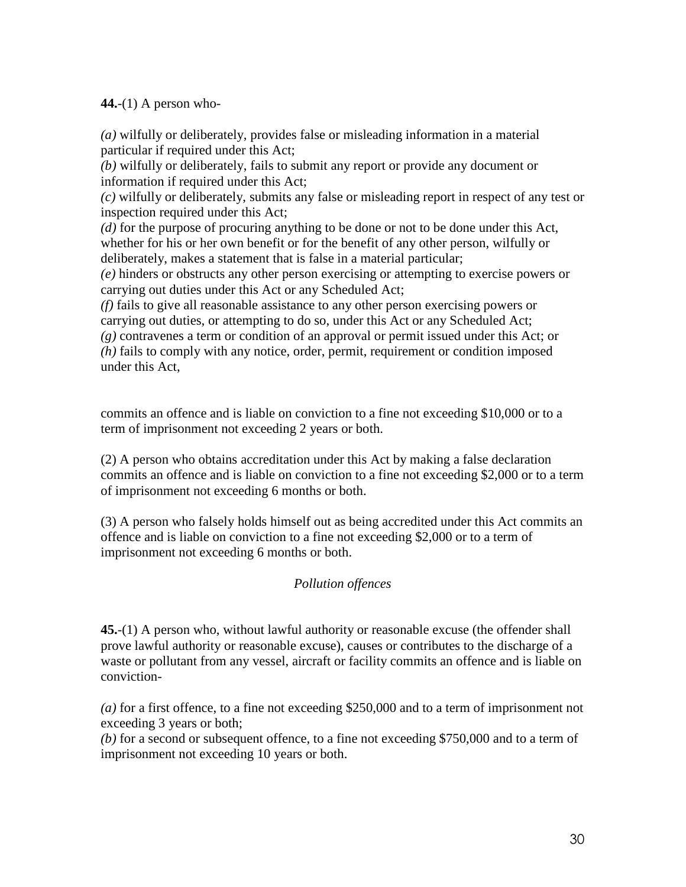**44.**-(1) A person who-

*(a)* wilfully or deliberately, provides false or misleading information in a material particular if required under this Act;

*(b)* wilfully or deliberately, fails to submit any report or provide any document or information if required under this Act;

*(c)* wilfully or deliberately, submits any false or misleading report in respect of any test or inspection required under this Act;

*(d)* for the purpose of procuring anything to be done or not to be done under this Act, whether for his or her own benefit or for the benefit of any other person, wilfully or deliberately, makes a statement that is false in a material particular;

*(e)* hinders or obstructs any other person exercising or attempting to exercise powers or carrying out duties under this Act or any Scheduled Act;

*(f)* fails to give all reasonable assistance to any other person exercising powers or carrying out duties, or attempting to do so, under this Act or any Scheduled Act; *(g)* contravenes a term or condition of an approval or permit issued under this Act; or *(h)* fails to comply with any notice, order, permit, requirement or condition imposed under this Act,

commits an offence and is liable on conviction to a fine not exceeding \$10,000 or to a term of imprisonment not exceeding 2 years or both.

(2) A person who obtains accreditation under this Act by making a false declaration commits an offence and is liable on conviction to a fine not exceeding \$2,000 or to a term of imprisonment not exceeding 6 months or both.

(3) A person who falsely holds himself out as being accredited under this Act commits an offence and is liable on conviction to a fine not exceeding \$2,000 or to a term of imprisonment not exceeding 6 months or both.

# *Pollution offences*

**45.**-(1) A person who, without lawful authority or reasonable excuse (the offender shall prove lawful authority or reasonable excuse), causes or contributes to the discharge of a waste or pollutant from any vessel, aircraft or facility commits an offence and is liable on conviction-

*(a)* for a first offence, to a fine not exceeding \$250,000 and to a term of imprisonment not exceeding 3 years or both;

*(b)* for a second or subsequent offence, to a fine not exceeding \$750,000 and to a term of imprisonment not exceeding 10 years or both.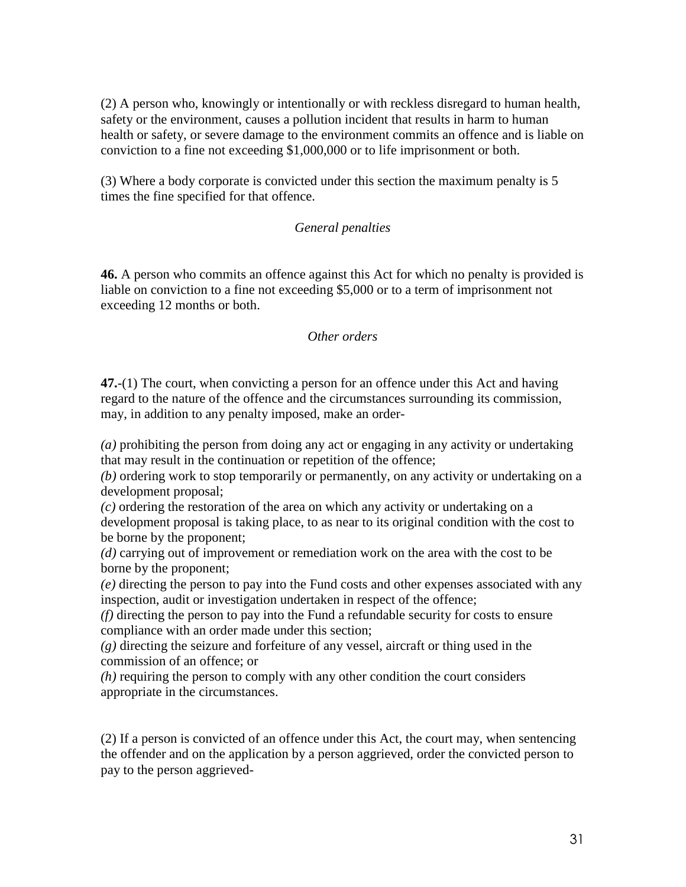(2) A person who, knowingly or intentionally or with reckless disregard to human health, safety or the environment, causes a pollution incident that results in harm to human health or safety, or severe damage to the environment commits an offence and is liable on conviction to a fine not exceeding \$1,000,000 or to life imprisonment or both.

(3) Where a body corporate is convicted under this section the maximum penalty is 5 times the fine specified for that offence.

### *General penalties*

**46.** A person who commits an offence against this Act for which no penalty is provided is liable on conviction to a fine not exceeding \$5,000 or to a term of imprisonment not exceeding 12 months or both.

#### *Other orders*

**47.**-(1) The court, when convicting a person for an offence under this Act and having regard to the nature of the offence and the circumstances surrounding its commission, may, in addition to any penalty imposed, make an order-

*(a)* prohibiting the person from doing any act or engaging in any activity or undertaking that may result in the continuation or repetition of the offence;

*(b)* ordering work to stop temporarily or permanently, on any activity or undertaking on a development proposal;

*(c)* ordering the restoration of the area on which any activity or undertaking on a development proposal is taking place, to as near to its original condition with the cost to be borne by the proponent;

*(d)* carrying out of improvement or remediation work on the area with the cost to be borne by the proponent;

*(e)* directing the person to pay into the Fund costs and other expenses associated with any inspection, audit or investigation undertaken in respect of the offence;

*(f)* directing the person to pay into the Fund a refundable security for costs to ensure compliance with an order made under this section;

*(g)* directing the seizure and forfeiture of any vessel, aircraft or thing used in the commission of an offence; or

*(h)* requiring the person to comply with any other condition the court considers appropriate in the circumstances.

(2) If a person is convicted of an offence under this Act, the court may, when sentencing the offender and on the application by a person aggrieved, order the convicted person to pay to the person aggrieved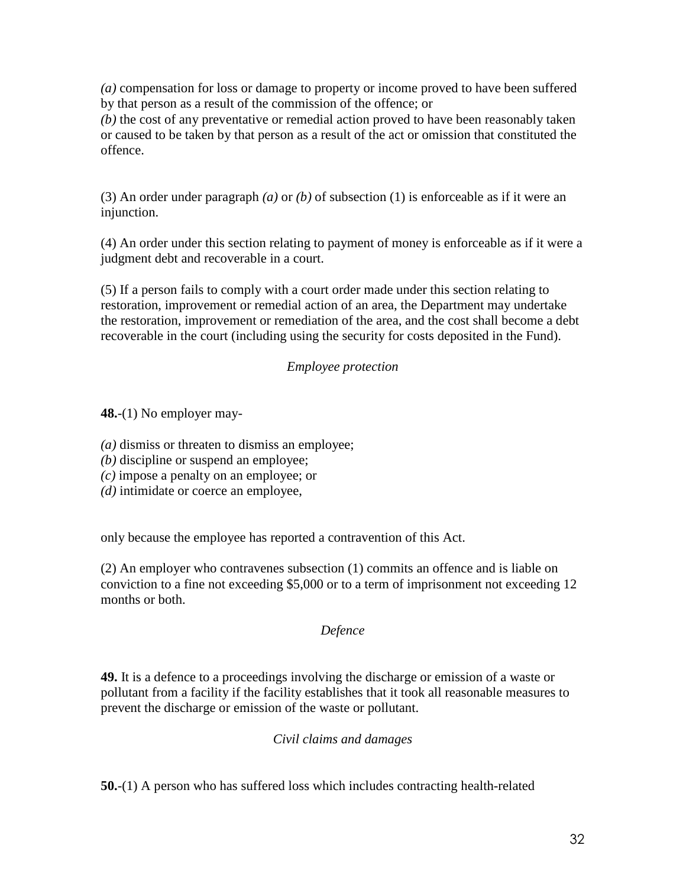*(a)* compensation for loss or damage to property or income proved to have been suffered by that person as a result of the commission of the offence; or

*(b)* the cost of any preventative or remedial action proved to have been reasonably taken or caused to be taken by that person as a result of the act or omission that constituted the offence.

(3) An order under paragraph *(a)* or *(b)* of subsection (1) is enforceable as if it were an injunction.

(4) An order under this section relating to payment of money is enforceable as if it were a judgment debt and recoverable in a court.

(5) If a person fails to comply with a court order made under this section relating to restoration, improvement or remedial action of an area, the Department may undertake the restoration, improvement or remediation of the area, and the cost shall become a debt recoverable in the court (including using the security for costs deposited in the Fund).

# *Employee protection*

**48.**-(1) No employer may-

*(a)* dismiss or threaten to dismiss an employee;

*(b)* discipline or suspend an employee;

*(c)* impose a penalty on an employee; or

*(d)* intimidate or coerce an employee,

only because the employee has reported a contravention of this Act.

(2) An employer who contravenes subsection (1) commits an offence and is liable on conviction to a fine not exceeding \$5,000 or to a term of imprisonment not exceeding 12 months or both.

# *Defence*

**49.** It is a defence to a proceedings involving the discharge or emission of a waste or pollutant from a facility if the facility establishes that it took all reasonable measures to prevent the discharge or emission of the waste or pollutant.

# *Civil claims and damages*

**50.**-(1) A person who has suffered loss which includes contracting health-related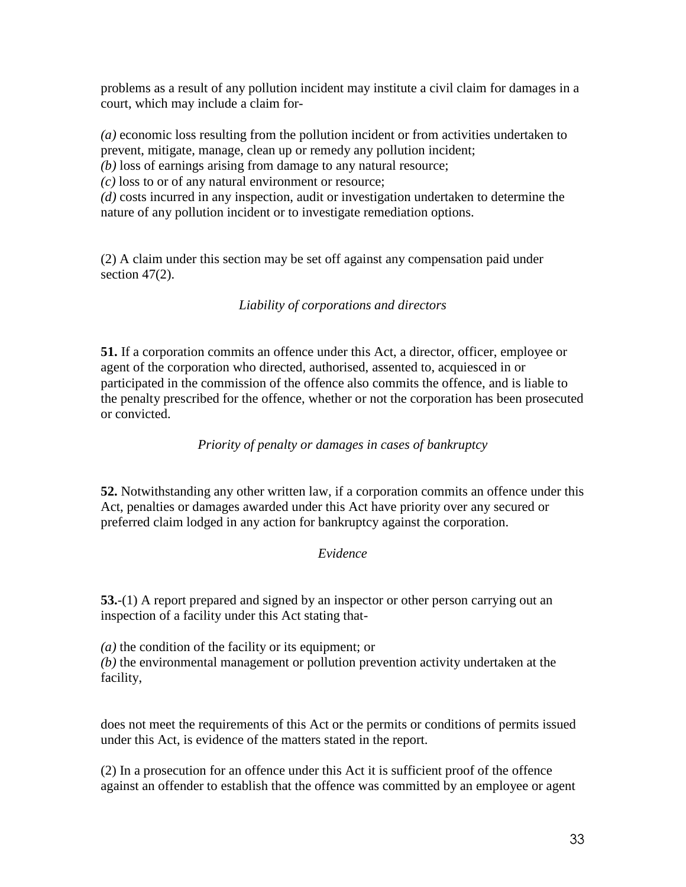problems as a result of any pollution incident may institute a civil claim for damages in a court, which may include a claim for-

*(a)* economic loss resulting from the pollution incident or from activities undertaken to prevent, mitigate, manage, clean up or remedy any pollution incident;

*(b)* loss of earnings arising from damage to any natural resource;

*(c)* loss to or of any natural environment or resource;

*(d)* costs incurred in any inspection, audit or investigation undertaken to determine the nature of any pollution incident or to investigate remediation options.

(2) A claim under this section may be set off against any compensation paid under section 47(2).

# *Liability of corporations and directors*

**51.** If a corporation commits an offence under this Act, a director, officer, employee or agent of the corporation who directed, authorised, assented to, acquiesced in or participated in the commission of the offence also commits the offence, and is liable to the penalty prescribed for the offence, whether or not the corporation has been prosecuted or convicted.

*Priority of penalty or damages in cases of bankruptcy*

**52.** Notwithstanding any other written law, if a corporation commits an offence under this Act, penalties or damages awarded under this Act have priority over any secured or preferred claim lodged in any action for bankruptcy against the corporation.

# *Evidence*

**53.**-(1) A report prepared and signed by an inspector or other person carrying out an inspection of a facility under this Act stating that-

*(a)* the condition of the facility or its equipment; or *(b)* the environmental management or pollution prevention activity undertaken at the facility,

does not meet the requirements of this Act or the permits or conditions of permits issued under this Act, is evidence of the matters stated in the report.

(2) In a prosecution for an offence under this Act it is sufficient proof of the offence against an offender to establish that the offence was committed by an employee or agent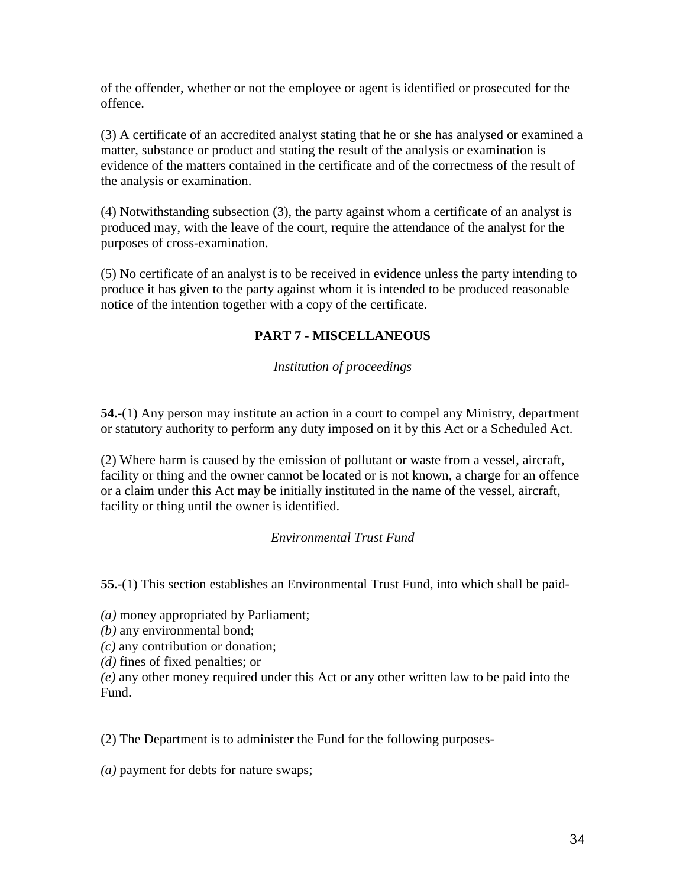of the offender, whether or not the employee or agent is identified or prosecuted for the offence.

(3) A certificate of an accredited analyst stating that he or she has analysed or examined a matter, substance or product and stating the result of the analysis or examination is evidence of the matters contained in the certificate and of the correctness of the result of the analysis or examination.

(4) Notwithstanding subsection (3), the party against whom a certificate of an analyst is produced may, with the leave of the court, require the attendance of the analyst for the purposes of cross-examination.

(5) No certificate of an analyst is to be received in evidence unless the party intending to produce it has given to the party against whom it is intended to be produced reasonable notice of the intention together with a copy of the certificate.

# **PART 7 - MISCELLANEOUS**

*Institution of proceedings*

**54.-**(1) Any person may institute an action in a court to compel any Ministry, department or statutory authority to perform any duty imposed on it by this Act or a Scheduled Act.

(2) Where harm is caused by the emission of pollutant or waste from a vessel, aircraft, facility or thing and the owner cannot be located or is not known, a charge for an offence or a claim under this Act may be initially instituted in the name of the vessel, aircraft, facility or thing until the owner is identified.

# *Environmental Trust Fund*

**55.**-(1) This section establishes an Environmental Trust Fund, into which shall be paid-

*(a)* money appropriated by Parliament;

*(b)* any environmental bond;

*(c)* any contribution or donation;

*(d)* fines of fixed penalties; or

*(e)* any other money required under this Act or any other written law to be paid into the Fund.

(2) The Department is to administer the Fund for the following purposes-

*(a)* payment for debts for nature swaps;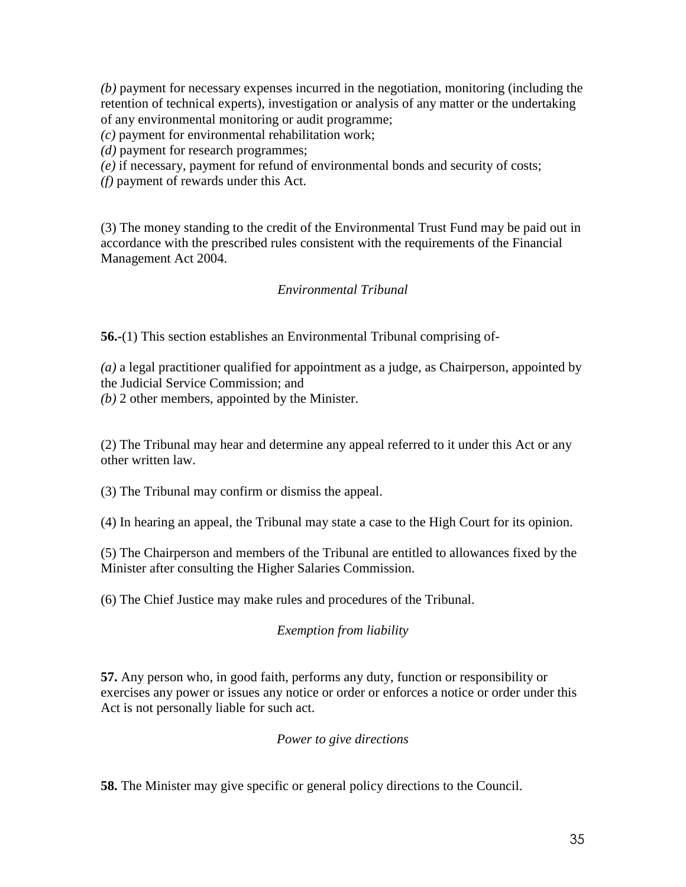*(b)* payment for necessary expenses incurred in the negotiation, monitoring (including the retention of technical experts), investigation or analysis of any matter or the undertaking of any environmental monitoring or audit programme;

*(c)* payment for environmental rehabilitation work;

*(d)* payment for research programmes;

*(e)* if necessary, payment for refund of environmental bonds and security of costs;

*(f)* payment of rewards under this Act.

(3) The money standing to the credit of the Environmental Trust Fund may be paid out in accordance with the prescribed rules consistent with the requirements of the Financial Management Act 2004.

# *Environmental Tribunal*

**56.-**(1) This section establishes an Environmental Tribunal comprising of-

*(a)* a legal practitioner qualified for appointment as a judge, as Chairperson, appointed by the Judicial Service Commission; and

*(b)* 2 other members, appointed by the Minister.

(2) The Tribunal may hear and determine any appeal referred to it under this Act or any other written law.

(3) The Tribunal may confirm or dismiss the appeal.

(4) In hearing an appeal, the Tribunal may state a case to the High Court for its opinion.

(5) The Chairperson and members of the Tribunal are entitled to allowances fixed by the Minister after consulting the Higher Salaries Commission.

(6) The Chief Justice may make rules and procedures of the Tribunal.

# *Exemption from liability*

**57.** Any person who, in good faith, performs any duty, function or responsibility or exercises any power or issues any notice or order or enforces a notice or order under this Act is not personally liable for such act.

# *Power to give directions*

**58.** The Minister may give specific or general policy directions to the Council.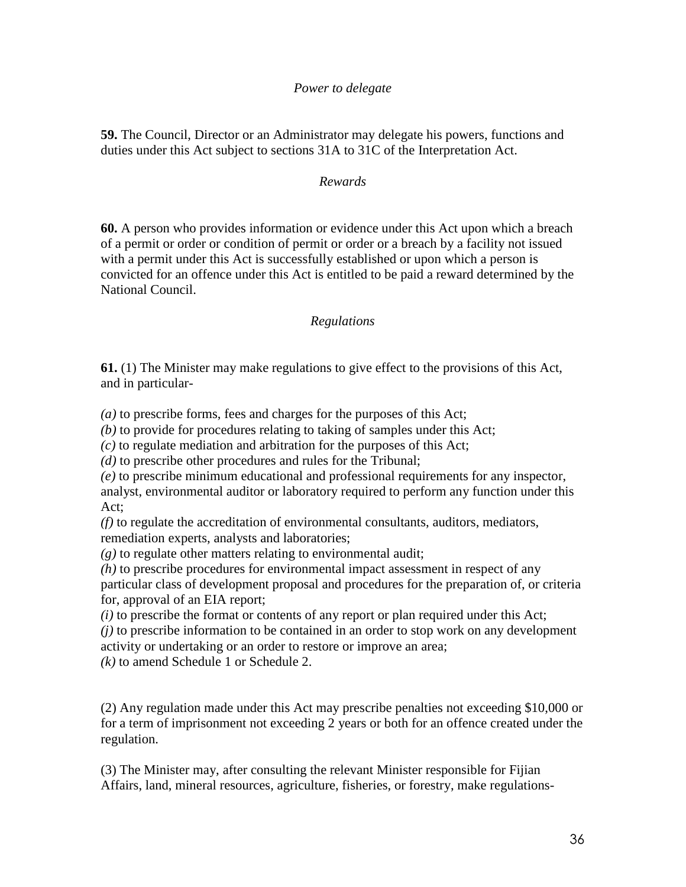#### *Power to delegate*

**59.** The Council, Director or an Administrator may delegate his powers, functions and duties under this Act subject to sections 31A to 31C of the Interpretation Act.

#### *Rewards*

**60.** A person who provides information or evidence under this Act upon which a breach of a permit or order or condition of permit or order or a breach by a facility not issued with a permit under this Act is successfully established or upon which a person is convicted for an offence under this Act is entitled to be paid a reward determined by the National Council.

#### *Regulations*

**61.** (1) The Minister may make regulations to give effect to the provisions of this Act, and in particular-

*(a)* to prescribe forms, fees and charges for the purposes of this Act;

*(b)* to provide for procedures relating to taking of samples under this Act;

*(c)* to regulate mediation and arbitration for the purposes of this Act;

*(d)* to prescribe other procedures and rules for the Tribunal;

*(e)* to prescribe minimum educational and professional requirements for any inspector, analyst, environmental auditor or laboratory required to perform any function under this Act;

*(f)* to regulate the accreditation of environmental consultants, auditors, mediators, remediation experts, analysts and laboratories;

*(g)* to regulate other matters relating to environmental audit;

*(h)* to prescribe procedures for environmental impact assessment in respect of any

particular class of development proposal and procedures for the preparation of, or criteria for, approval of an EIA report;

*(i)* to prescribe the format or contents of any report or plan required under this Act;

*(j)* to prescribe information to be contained in an order to stop work on any development activity or undertaking or an order to restore or improve an area;

*(k)* to amend Schedule 1 or Schedule 2.

(2) Any regulation made under this Act may prescribe penalties not exceeding \$10,000 or for a term of imprisonment not exceeding 2 years or both for an offence created under the regulation.

(3) The Minister may, after consulting the relevant Minister responsible for Fijian Affairs, land, mineral resources, agriculture, fisheries, or forestry, make regulations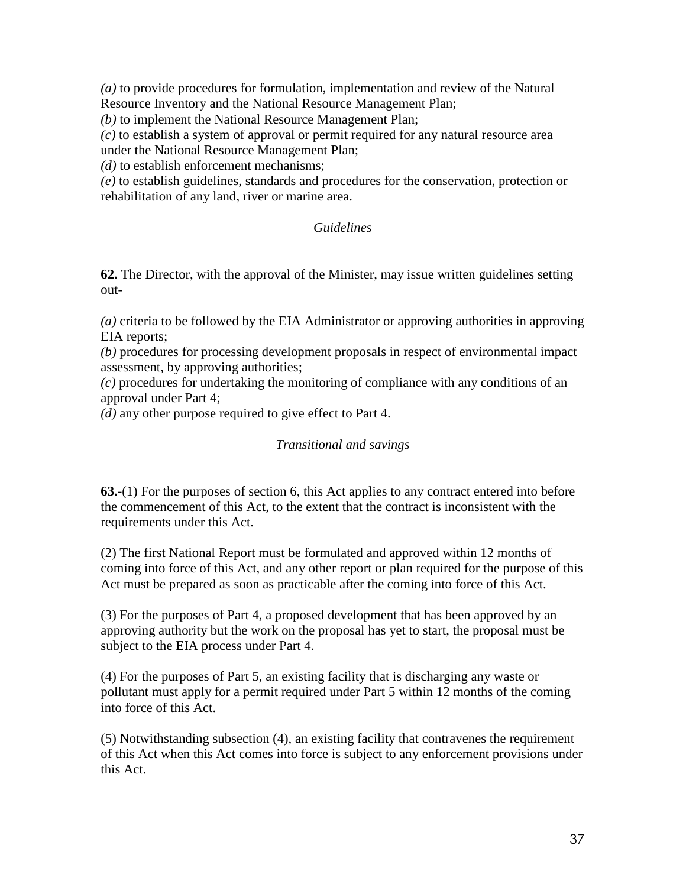*(a)* to provide procedures for formulation, implementation and review of the Natural Resource Inventory and the National Resource Management Plan;

*(b)* to implement the National Resource Management Plan;

*(c)* to establish a system of approval or permit required for any natural resource area under the National Resource Management Plan;

*(d)* to establish enforcement mechanisms;

*(e)* to establish guidelines, standards and procedures for the conservation, protection or rehabilitation of any land, river or marine area.

### *Guidelines*

**62.** The Director, with the approval of the Minister, may issue written guidelines setting out-

*(a)* criteria to be followed by the EIA Administrator or approving authorities in approving EIA reports;

*(b)* procedures for processing development proposals in respect of environmental impact assessment, by approving authorities;

*(c)* procedures for undertaking the monitoring of compliance with any conditions of an approval under Part 4;

*(d)* any other purpose required to give effect to Part 4.

### *Transitional and savings*

**63.-**(1) For the purposes of section 6, this Act applies to any contract entered into before the commencement of this Act, to the extent that the contract is inconsistent with the requirements under this Act.

(2) The first National Report must be formulated and approved within 12 months of coming into force of this Act, and any other report or plan required for the purpose of this Act must be prepared as soon as practicable after the coming into force of this Act.

(3) For the purposes of Part 4, a proposed development that has been approved by an approving authority but the work on the proposal has yet to start, the proposal must be subject to the EIA process under Part 4.

(4) For the purposes of Part 5, an existing facility that is discharging any waste or pollutant must apply for a permit required under Part 5 within 12 months of the coming into force of this Act.

(5) Notwithstanding subsection (4), an existing facility that contravenes the requirement of this Act when this Act comes into force is subject to any enforcement provisions under this Act.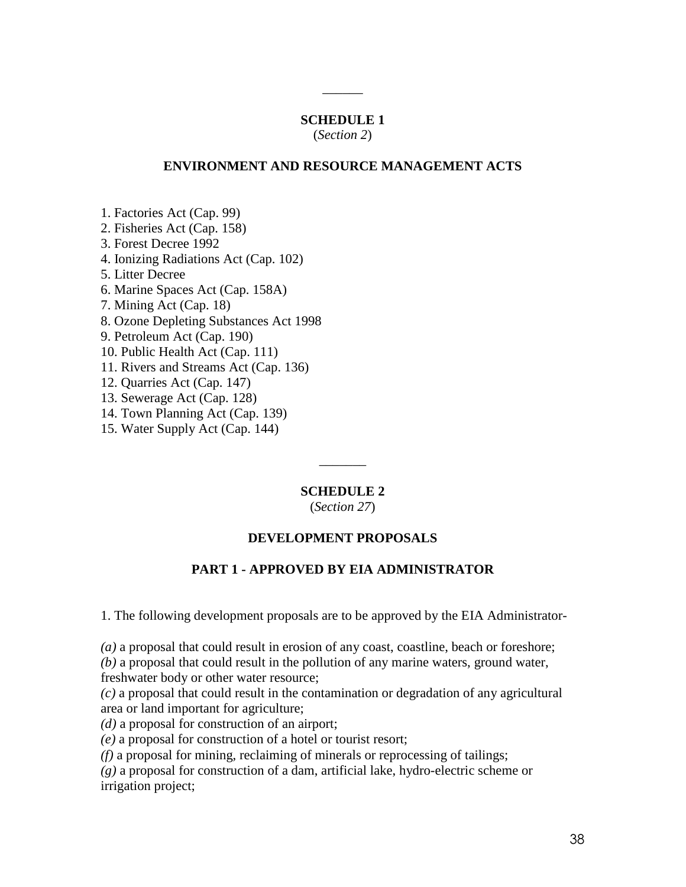# **SCHEDULE 1**

 $\overline{\phantom{a}}$ 

(*Section 2*)

### **ENVIRONMENT AND RESOURCE MANAGEMENT ACTS**

1. Factories Act (Cap. 99)

2. Fisheries Act (Cap. 158)

3. Forest Decree 1992

4. Ionizing Radiations Act (Cap. 102)

5. Litter Decree

6. Marine Spaces Act (Cap. 158A)

7. Mining Act (Cap. 18)

8. Ozone Depleting Substances Act 1998

9. Petroleum Act (Cap. 190)

10. Public Health Act (Cap. 111)

11. Rivers and Streams Act (Cap. 136)

12. Quarries Act (Cap. 147)

13. Sewerage Act (Cap. 128)

14. Town Planning Act (Cap. 139)

15. Water Supply Act (Cap. 144)

#### **SCHEDULE 2**

 $\overline{\phantom{a}}$ 

(*Section 27*)

# **DEVELOPMENT PROPOSALS**

### **PART 1 - APPROVED BY EIA ADMINISTRATOR**

1. The following development proposals are to be approved by the EIA Administrator-

*(a)* a proposal that could result in erosion of any coast, coastline, beach or foreshore; *(b)* a proposal that could result in the pollution of any marine waters, ground water, freshwater body or other water resource;

*(c)* a proposal that could result in the contamination or degradation of any agricultural area or land important for agriculture;

*(d)* a proposal for construction of an airport;

*(e)* a proposal for construction of a hotel or tourist resort;

*(f)* a proposal for mining, reclaiming of minerals or reprocessing of tailings;

*(g)* a proposal for construction of a dam, artificial lake, hydro-electric scheme or irrigation project;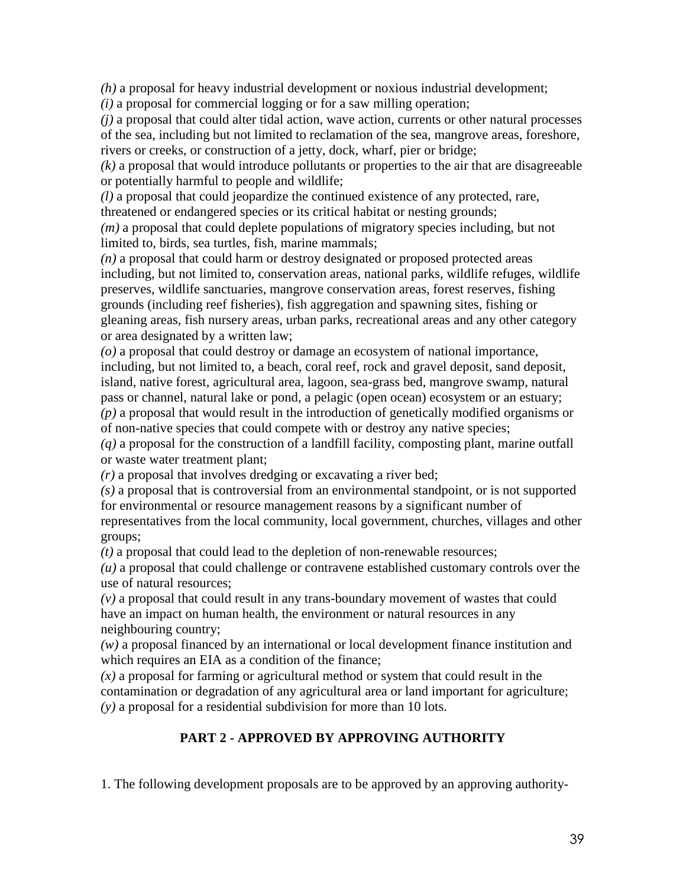*(h)* a proposal for heavy industrial development or noxious industrial development;

*(i)* a proposal for commercial logging or for a saw milling operation;

*(j)* a proposal that could alter tidal action, wave action, currents or other natural processes of the sea, including but not limited to reclamation of the sea, mangrove areas, foreshore, rivers or creeks, or construction of a jetty, dock, wharf, pier or bridge;

*(k)* a proposal that would introduce pollutants or properties to the air that are disagreeable or potentially harmful to people and wildlife;

*(l)* a proposal that could jeopardize the continued existence of any protected, rare, threatened or endangered species or its critical habitat or nesting grounds;

*(m)* a proposal that could deplete populations of migratory species including, but not limited to, birds, sea turtles, fish, marine mammals;

*(n)* a proposal that could harm or destroy designated or proposed protected areas including, but not limited to, conservation areas, national parks, wildlife refuges, wildlife preserves, wildlife sanctuaries, mangrove conservation areas, forest reserves, fishing grounds (including reef fisheries), fish aggregation and spawning sites, fishing or gleaning areas, fish nursery areas, urban parks, recreational areas and any other category or area designated by a written law;

*(o)* a proposal that could destroy or damage an ecosystem of national importance, including, but not limited to, a beach, coral reef, rock and gravel deposit, sand deposit, island, native forest, agricultural area, lagoon, sea-grass bed, mangrove swamp, natural pass or channel, natural lake or pond, a pelagic (open ocean) ecosystem or an estuary;

*(p)* a proposal that would result in the introduction of genetically modified organisms or of non-native species that could compete with or destroy any native species;

*(q)* a proposal for the construction of a landfill facility, composting plant, marine outfall or waste water treatment plant;

*(r)* a proposal that involves dredging or excavating a river bed;

*(s)* a proposal that is controversial from an environmental standpoint, or is not supported for environmental or resource management reasons by a significant number of

representatives from the local community, local government, churches, villages and other groups;

*(t)* a proposal that could lead to the depletion of non-renewable resources;

*(u)* a proposal that could challenge or contravene established customary controls over the use of natural resources;

*(v)* a proposal that could result in any trans-boundary movement of wastes that could have an impact on human health, the environment or natural resources in any neighbouring country;

*(w)* a proposal financed by an international or local development finance institution and which requires an EIA as a condition of the finance;

*(x)* a proposal for farming or agricultural method or system that could result in the contamination or degradation of any agricultural area or land important for agriculture; *(y)* a proposal for a residential subdivision for more than 10 lots.

# **PART 2 - APPROVED BY APPROVING AUTHORITY**

1. The following development proposals are to be approved by an approving authority-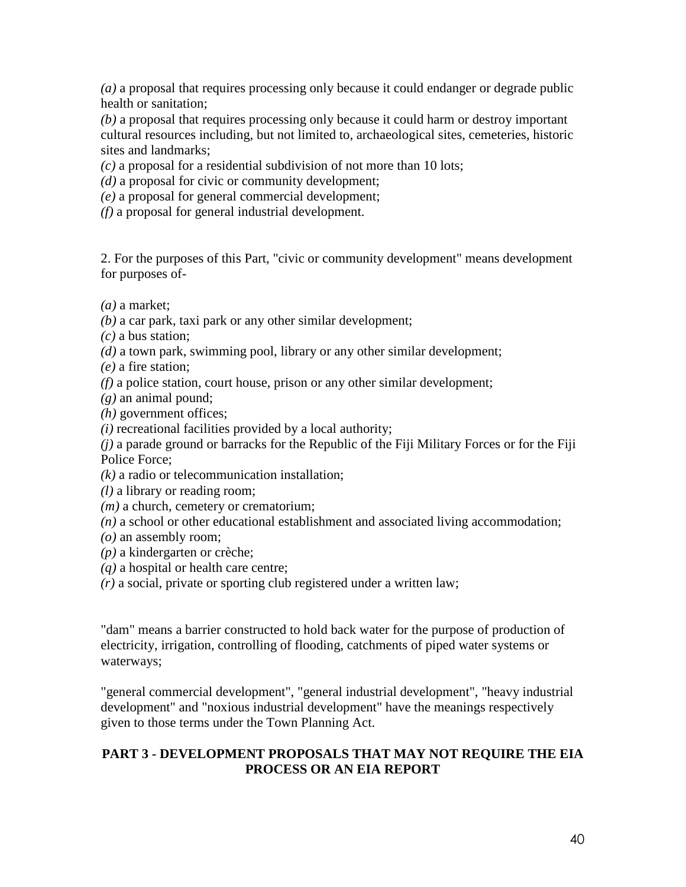*(a)* a proposal that requires processing only because it could endanger or degrade public health or sanitation;

*(b)* a proposal that requires processing only because it could harm or destroy important cultural resources including, but not limited to, archaeological sites, cemeteries, historic sites and landmarks;

*(c)* a proposal for a residential subdivision of not more than 10 lots;

*(d)* a proposal for civic or community development;

*(e)* a proposal for general commercial development;

*(f)* a proposal for general industrial development.

2. For the purposes of this Part, "civic or community development" means development for purposes of-

*(a)* a market;

*(b)* a car park, taxi park or any other similar development;

*(c)* a bus station;

*(d)* a town park, swimming pool, library or any other similar development;

*(e)* a fire station;

*(f)* a police station, court house, prison or any other similar development;

*(g)* an animal pound;

*(h)* government offices;

*(i)* recreational facilities provided by a local authority;

*(j)* a parade ground or barracks for the Republic of the Fiji Military Forces or for the Fiji Police Force;

*(k)* a radio or telecommunication installation;

*(l)* a library or reading room;

*(m)* a church, cemetery or crematorium;

*(n)* a school or other educational establishment and associated living accommodation;

*(o)* an assembly room;

*(p)* a kindergarten or crèche;

*(q)* a hospital or health care centre;

*(r)* a social, private or sporting club registered under a written law;

"dam" means a barrier constructed to hold back water for the purpose of production of electricity, irrigation, controlling of flooding, catchments of piped water systems or waterways;

"general commercial development", "general industrial development", "heavy industrial development" and "noxious industrial development" have the meanings respectively given to those terms under the Town Planning Act.

# **PART 3 - DEVELOPMENT PROPOSALS THAT MAY NOT REQUIRE THE EIA PROCESS OR AN EIA REPORT**